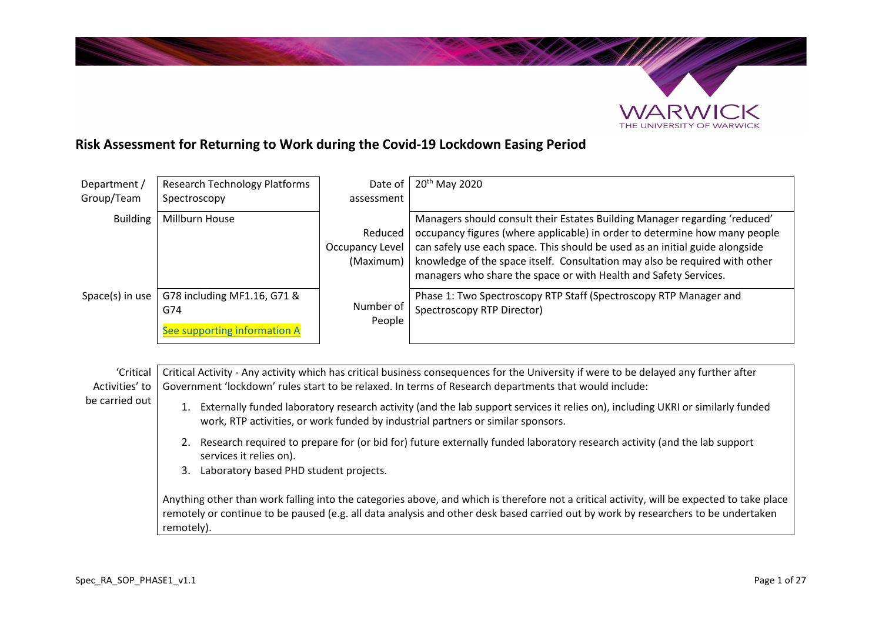

## **Risk Assessment for Returning to Work during the Covid-19 Lockdown Easing Period**

| Department /    | <b>Research Technology Platforms</b>                               | Date of                                 | 20 <sup>th</sup> May 2020                                                                                                                                                                                                                                                                                                                                                                   |
|-----------------|--------------------------------------------------------------------|-----------------------------------------|---------------------------------------------------------------------------------------------------------------------------------------------------------------------------------------------------------------------------------------------------------------------------------------------------------------------------------------------------------------------------------------------|
| Group/Team      | Spectroscopy                                                       | assessment                              |                                                                                                                                                                                                                                                                                                                                                                                             |
| <b>Building</b> | Millburn House                                                     | Reduced<br>Occupancy Level<br>(Maximum) | Managers should consult their Estates Building Manager regarding 'reduced'<br>occupancy figures (where applicable) in order to determine how many people<br>can safely use each space. This should be used as an initial guide alongside<br>knowledge of the space itself. Consultation may also be required with other<br>managers who share the space or with Health and Safety Services. |
| Space(s) in use | G78 including MF1.16, G71 &<br>G74<br>See supporting information A | Number of<br>People                     | Phase 1: Two Spectroscopy RTP Staff (Spectroscopy RTP Manager and<br>Spectroscopy RTP Director)                                                                                                                                                                                                                                                                                             |

'Critical Activities' to Critical Activity - Any activity which has critical business consequences for the University if were to be delayed any further after Government 'lockdown' rules start to be relaxed. In terms of Research departments that would include:

- 1. Externally funded laboratory research activity (and the lab support services it relies on), including UKRI or similarly funded work, RTP activities, or work funded by industrial partners or similar sponsors.
	- 2. Research required to prepare for (or bid for) future externally funded laboratory research activity (and the lab support services it relies on).
	- 3. Laboratory based PHD student projects.

Anything other than work falling into the categories above, and which is therefore not a critical activity, will be expected to take place remotely or continue to be paused (e.g. all data analysis and other desk based carried out by work by researchers to be undertaken remotely).

be carried out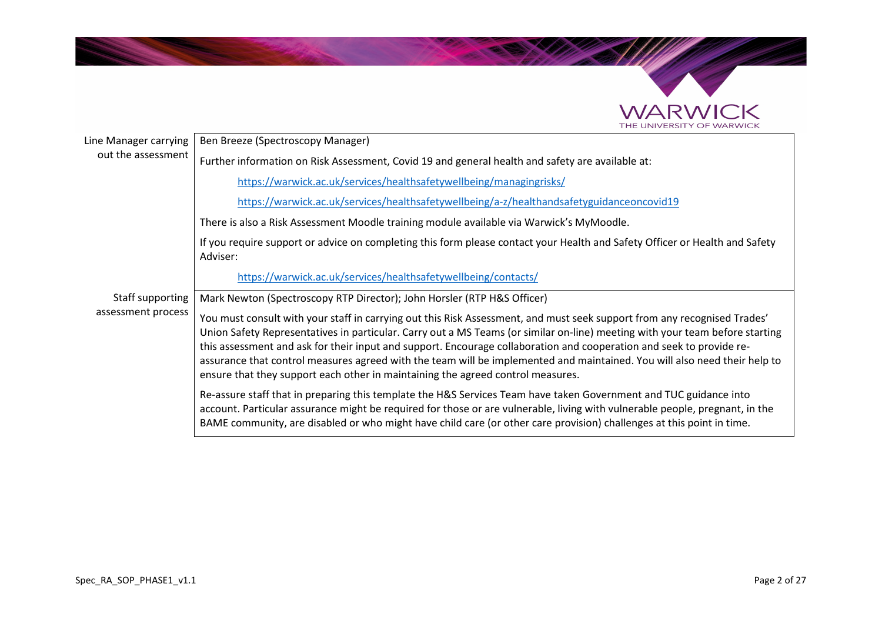

| Line Manager carrying | Ben Breeze (Spectroscopy Manager)                                                                                                                                                                                                                                                                                                                                                                                                                                                                                                                                                                |  |
|-----------------------|--------------------------------------------------------------------------------------------------------------------------------------------------------------------------------------------------------------------------------------------------------------------------------------------------------------------------------------------------------------------------------------------------------------------------------------------------------------------------------------------------------------------------------------------------------------------------------------------------|--|
| out the assessment    | Further information on Risk Assessment, Covid 19 and general health and safety are available at:                                                                                                                                                                                                                                                                                                                                                                                                                                                                                                 |  |
|                       | https://warwick.ac.uk/services/healthsafetywellbeing/managingrisks/                                                                                                                                                                                                                                                                                                                                                                                                                                                                                                                              |  |
|                       | https://warwick.ac.uk/services/healthsafetywellbeing/a-z/healthandsafetyguidanceoncovid19                                                                                                                                                                                                                                                                                                                                                                                                                                                                                                        |  |
|                       | There is also a Risk Assessment Moodle training module available via Warwick's MyMoodle.                                                                                                                                                                                                                                                                                                                                                                                                                                                                                                         |  |
|                       | If you require support or advice on completing this form please contact your Health and Safety Officer or Health and Safety<br>Adviser:                                                                                                                                                                                                                                                                                                                                                                                                                                                          |  |
|                       | https://warwick.ac.uk/services/healthsafetywellbeing/contacts/                                                                                                                                                                                                                                                                                                                                                                                                                                                                                                                                   |  |
| Staff supporting      | Mark Newton (Spectroscopy RTP Director); John Horsler (RTP H&S Officer)                                                                                                                                                                                                                                                                                                                                                                                                                                                                                                                          |  |
| assessment process    | You must consult with your staff in carrying out this Risk Assessment, and must seek support from any recognised Trades'<br>Union Safety Representatives in particular. Carry out a MS Teams (or similar on-line) meeting with your team before starting<br>this assessment and ask for their input and support. Encourage collaboration and cooperation and seek to provide re-<br>assurance that control measures agreed with the team will be implemented and maintained. You will also need their help to<br>ensure that they support each other in maintaining the agreed control measures. |  |
|                       | Re-assure staff that in preparing this template the H&S Services Team have taken Government and TUC guidance into<br>account. Particular assurance might be required for those or are vulnerable, living with vulnerable people, pregnant, in the<br>BAME community, are disabled or who might have child care (or other care provision) challenges at this point in time.                                                                                                                                                                                                                       |  |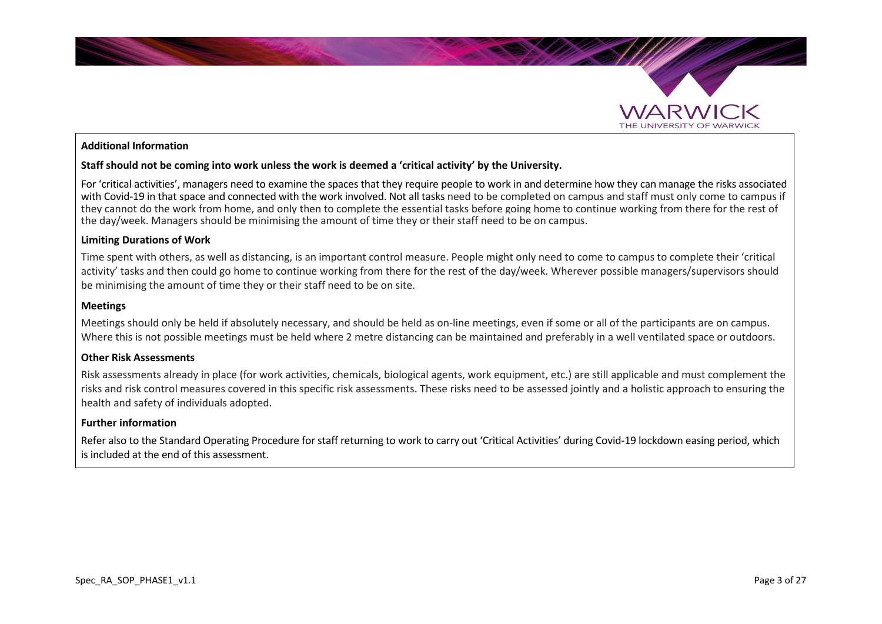

#### **Additional Information**

#### **Staff should not be coming into work unless the work is deemed a 'critical activity' by the University.**

For 'critical activities', managers need to examine the spaces that they require people to work in and determine how they can manage the risks associated with Covid-19 in that space and connected with the work involved. Not all tasks need to be completed on campus and staff must only come to campus if they cannot do the work from home, and only then to complete the essential tasks before going home to continue working from there for the rest of the day/week. Managers should be minimising the amount of time they or their staff need to be on campus.

#### **Limiting Durations of Work**

Time spent with others, as well as distancing, is an important control measure. People might only need to come to campus to complete their 'critical activity' tasks and then could go home to continue working from there for the rest of the day/week. Wherever possible managers/supervisors should be minimising the amount of time they or their staff need to be on site.

#### **Meetings**

Meetings should only be held if absolutely necessary, and should be held as on-line meetings, even if some or all of the participants are on campus. Where this is not possible meetings must be held where 2 metre distancing can be maintained and preferably in a well ventilated space or outdoors.

#### **Other Risk Assessments**

Risk assessments already in place (for work activities, chemicals, biological agents, work equipment, etc.) are still applicable and must complement the risks and risk control measures covered in this specific risk assessments. These risks need to be assessed jointly and a holistic approach to ensuring the health and safety of individuals adopted.

#### **Further information**

Refer also to the Standard Operating Procedure for staff returning to work to carry out 'Critical Activities' during Covid-19 lockdown easing period, which is included at the end of this assessment.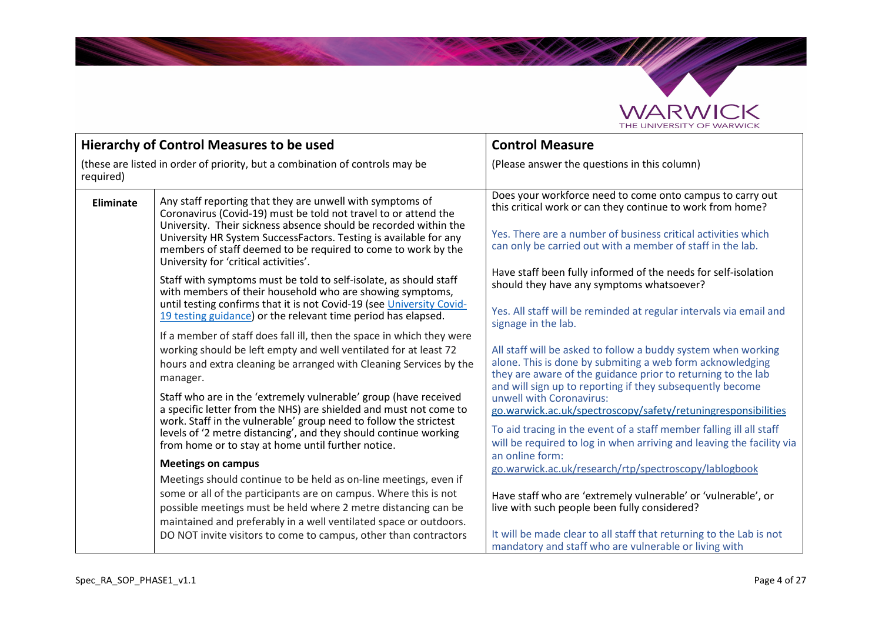

The Company

| Hierarchy of Control Measures to be used                                                  |                                                                                                                                                                                                                                                                                                                                                                                                                                                                                                                                                                                                                                                                                                                                                                                                                                                                                                                                                                                                                                                                                                                                                                                                                                                                                                                                                                                                                                                                                                                                                                                                                    | <b>Control Measure</b>                                                                                                                                                                                                                                                                                                                                                                                                                                                                                                                                                                                                                                                                                                                                                                                                                                                                                                                                                                                                                                                                                                                                                                                                                                                                                  |
|-------------------------------------------------------------------------------------------|--------------------------------------------------------------------------------------------------------------------------------------------------------------------------------------------------------------------------------------------------------------------------------------------------------------------------------------------------------------------------------------------------------------------------------------------------------------------------------------------------------------------------------------------------------------------------------------------------------------------------------------------------------------------------------------------------------------------------------------------------------------------------------------------------------------------------------------------------------------------------------------------------------------------------------------------------------------------------------------------------------------------------------------------------------------------------------------------------------------------------------------------------------------------------------------------------------------------------------------------------------------------------------------------------------------------------------------------------------------------------------------------------------------------------------------------------------------------------------------------------------------------------------------------------------------------------------------------------------------------|---------------------------------------------------------------------------------------------------------------------------------------------------------------------------------------------------------------------------------------------------------------------------------------------------------------------------------------------------------------------------------------------------------------------------------------------------------------------------------------------------------------------------------------------------------------------------------------------------------------------------------------------------------------------------------------------------------------------------------------------------------------------------------------------------------------------------------------------------------------------------------------------------------------------------------------------------------------------------------------------------------------------------------------------------------------------------------------------------------------------------------------------------------------------------------------------------------------------------------------------------------------------------------------------------------|
|                                                                                           |                                                                                                                                                                                                                                                                                                                                                                                                                                                                                                                                                                                                                                                                                                                                                                                                                                                                                                                                                                                                                                                                                                                                                                                                                                                                                                                                                                                                                                                                                                                                                                                                                    |                                                                                                                                                                                                                                                                                                                                                                                                                                                                                                                                                                                                                                                                                                                                                                                                                                                                                                                                                                                                                                                                                                                                                                                                                                                                                                         |
| (these are listed in order of priority, but a combination of controls may be<br>required) |                                                                                                                                                                                                                                                                                                                                                                                                                                                                                                                                                                                                                                                                                                                                                                                                                                                                                                                                                                                                                                                                                                                                                                                                                                                                                                                                                                                                                                                                                                                                                                                                                    | (Please answer the questions in this column)                                                                                                                                                                                                                                                                                                                                                                                                                                                                                                                                                                                                                                                                                                                                                                                                                                                                                                                                                                                                                                                                                                                                                                                                                                                            |
| <b>Eliminate</b>                                                                          | Any staff reporting that they are unwell with symptoms of<br>Coronavirus (Covid-19) must be told not travel to or attend the<br>University. Their sickness absence should be recorded within the<br>University HR System SuccessFactors. Testing is available for any<br>members of staff deemed to be required to come to work by the<br>University for 'critical activities'.<br>Staff with symptoms must be told to self-isolate, as should staff<br>with members of their household who are showing symptoms,<br>until testing confirms that it is not Covid-19 (see University Covid-<br>19 testing guidance) or the relevant time period has elapsed.<br>If a member of staff does fall ill, then the space in which they were<br>working should be left empty and well ventilated for at least 72<br>hours and extra cleaning be arranged with Cleaning Services by the<br>manager.<br>Staff who are in the 'extremely vulnerable' group (have received<br>a specific letter from the NHS) are shielded and must not come to<br>work. Staff in the vulnerable' group need to follow the strictest<br>levels of '2 metre distancing', and they should continue working<br>from home or to stay at home until further notice.<br><b>Meetings on campus</b><br>Meetings should continue to be held as on-line meetings, even if<br>some or all of the participants are on campus. Where this is not<br>possible meetings must be held where 2 metre distancing can be<br>maintained and preferably in a well ventilated space or outdoors.<br>DO NOT invite visitors to come to campus, other than contractors | Does your workforce need to come onto campus to carry out<br>this critical work or can they continue to work from home?<br>Yes. There are a number of business critical activities which<br>can only be carried out with a member of staff in the lab.<br>Have staff been fully informed of the needs for self-isolation<br>should they have any symptoms whatsoever?<br>Yes. All staff will be reminded at regular intervals via email and<br>signage in the lab.<br>All staff will be asked to follow a buddy system when working<br>alone. This is done by submiting a web form acknowledging<br>they are aware of the guidance prior to returning to the lab<br>and will sign up to reporting if they subsequently become<br>unwell with Coronavirus:<br>go.warwick.ac.uk/spectroscopy/safety/retuningresponsibilities<br>To aid tracing in the event of a staff member falling ill all staff<br>will be required to log in when arriving and leaving the facility via<br>an online form:<br>go.warwick.ac.uk/research/rtp/spectroscopy/lablogbook<br>Have staff who are 'extremely vulnerable' or 'vulnerable', or<br>live with such people been fully considered?<br>It will be made clear to all staff that returning to the Lab is not<br>mandatory and staff who are vulnerable or living with |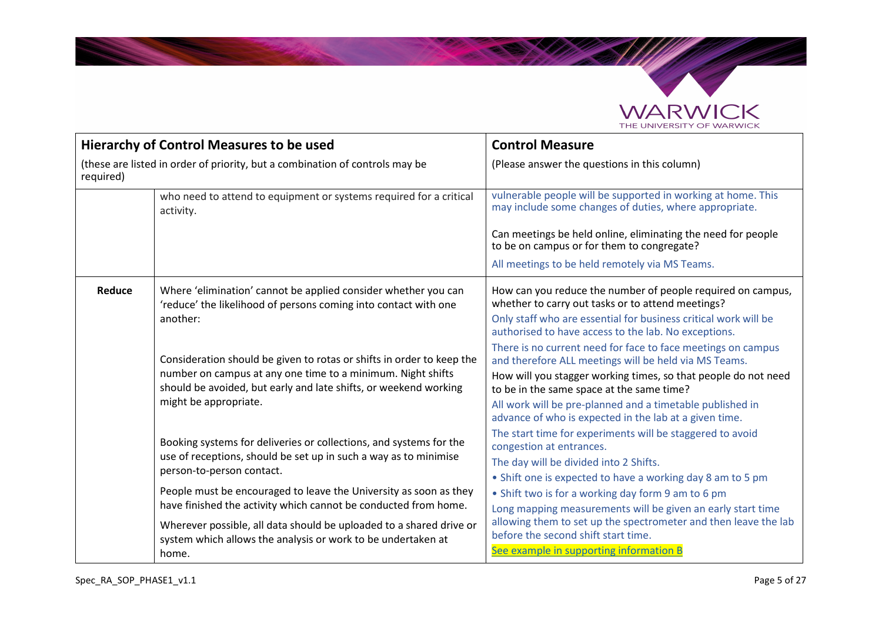

The Contract of

| <b>Hierarchy of Control Measures to be used</b>                                           |                                                                                                                                                                                                                                   | <b>Control Measure</b>                                                                                                                                                                                                                                                                                                                                      |
|-------------------------------------------------------------------------------------------|-----------------------------------------------------------------------------------------------------------------------------------------------------------------------------------------------------------------------------------|-------------------------------------------------------------------------------------------------------------------------------------------------------------------------------------------------------------------------------------------------------------------------------------------------------------------------------------------------------------|
| (these are listed in order of priority, but a combination of controls may be<br>required) |                                                                                                                                                                                                                                   | (Please answer the questions in this column)                                                                                                                                                                                                                                                                                                                |
|                                                                                           | who need to attend to equipment or systems required for a critical<br>activity.                                                                                                                                                   | vulnerable people will be supported in working at home. This<br>may include some changes of duties, where appropriate.                                                                                                                                                                                                                                      |
|                                                                                           |                                                                                                                                                                                                                                   | Can meetings be held online, eliminating the need for people<br>to be on campus or for them to congregate?                                                                                                                                                                                                                                                  |
|                                                                                           |                                                                                                                                                                                                                                   | All meetings to be held remotely via MS Teams.                                                                                                                                                                                                                                                                                                              |
| Reduce                                                                                    | Where 'elimination' cannot be applied consider whether you can<br>'reduce' the likelihood of persons coming into contact with one<br>another:                                                                                     | How can you reduce the number of people required on campus,<br>whether to carry out tasks or to attend meetings?<br>Only staff who are essential for business critical work will be<br>authorised to have access to the lab. No exceptions.                                                                                                                 |
|                                                                                           | Consideration should be given to rotas or shifts in order to keep the<br>number on campus at any one time to a minimum. Night shifts<br>should be avoided, but early and late shifts, or weekend working<br>might be appropriate. | There is no current need for face to face meetings on campus<br>and therefore ALL meetings will be held via MS Teams.<br>How will you stagger working times, so that people do not need<br>to be in the same space at the same time?<br>All work will be pre-planned and a timetable published in<br>advance of who is expected in the lab at a given time. |
|                                                                                           | Booking systems for deliveries or collections, and systems for the<br>use of receptions, should be set up in such a way as to minimise<br>person-to-person contact.                                                               | The start time for experiments will be staggered to avoid<br>congestion at entrances.<br>The day will be divided into 2 Shifts.<br>• Shift one is expected to have a working day 8 am to 5 pm                                                                                                                                                               |
|                                                                                           | People must be encouraged to leave the University as soon as they<br>have finished the activity which cannot be conducted from home.                                                                                              | • Shift two is for a working day form 9 am to 6 pm<br>Long mapping measurements will be given an early start time                                                                                                                                                                                                                                           |
|                                                                                           | Wherever possible, all data should be uploaded to a shared drive or<br>system which allows the analysis or work to be undertaken at<br>home.                                                                                      | allowing them to set up the spectrometer and then leave the lab<br>before the second shift start time.<br>See example in supporting information B                                                                                                                                                                                                           |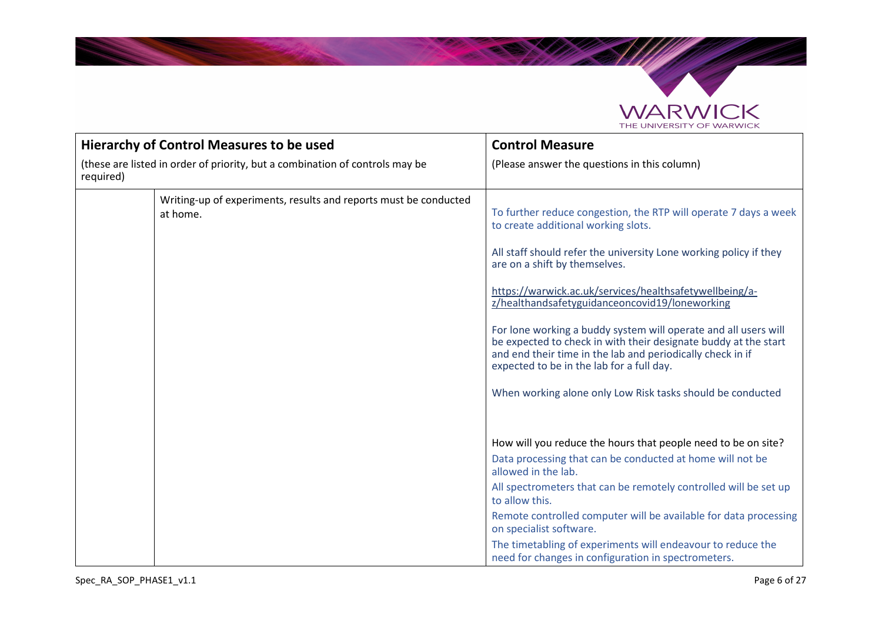

SAMAS

| <b>Hierarchy of Control Measures to be used</b>                                           |                                                                              | <b>Control Measure</b>                                                                                                                                                                                                                                                                                                                                                                                                                                                                                                                                                                                                                    |
|-------------------------------------------------------------------------------------------|------------------------------------------------------------------------------|-------------------------------------------------------------------------------------------------------------------------------------------------------------------------------------------------------------------------------------------------------------------------------------------------------------------------------------------------------------------------------------------------------------------------------------------------------------------------------------------------------------------------------------------------------------------------------------------------------------------------------------------|
| (these are listed in order of priority, but a combination of controls may be<br>required) |                                                                              | (Please answer the questions in this column)                                                                                                                                                                                                                                                                                                                                                                                                                                                                                                                                                                                              |
|                                                                                           | Writing-up of experiments, results and reports must be conducted<br>at home. | To further reduce congestion, the RTP will operate 7 days a week<br>to create additional working slots.<br>All staff should refer the university Lone working policy if they<br>are on a shift by themselves.<br>https://warwick.ac.uk/services/healthsafetywellbeing/a-<br>z/healthandsafetyguidanceoncovid19/loneworking<br>For lone working a buddy system will operate and all users will<br>be expected to check in with their designate buddy at the start<br>and end their time in the lab and periodically check in if<br>expected to be in the lab for a full day.<br>When working alone only Low Risk tasks should be conducted |
|                                                                                           |                                                                              | How will you reduce the hours that people need to be on site?<br>Data processing that can be conducted at home will not be<br>allowed in the lab.<br>All spectrometers that can be remotely controlled will be set up<br>to allow this.<br>Remote controlled computer will be available for data processing<br>on specialist software.<br>The timetabling of experiments will endeavour to reduce the<br>need for changes in configuration in spectrometers.                                                                                                                                                                              |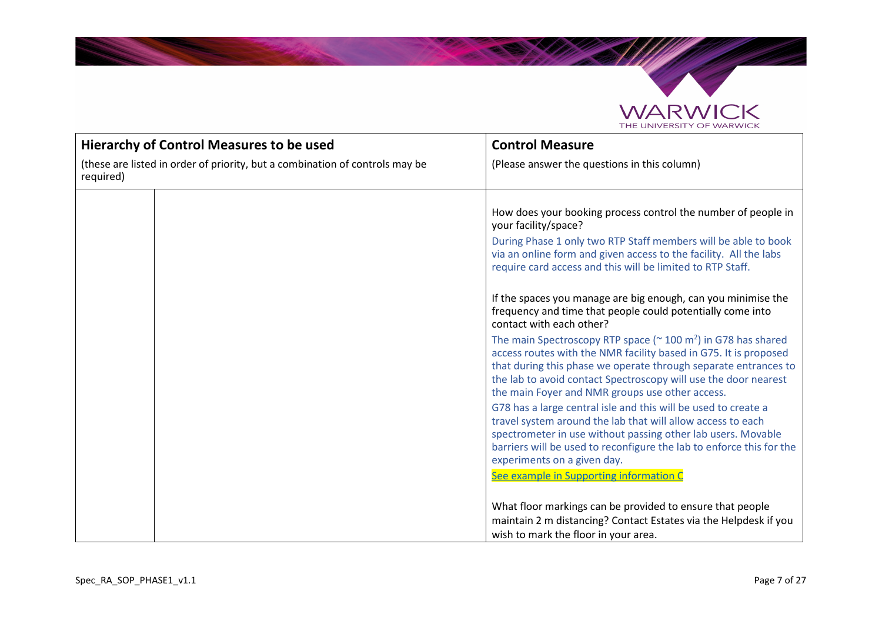

Santa Card

| <b>Hierarchy of Control Measures to be used</b>                                           |  | <b>Control Measure</b>                                                                                                                                                                                                                                                                                                                          |
|-------------------------------------------------------------------------------------------|--|-------------------------------------------------------------------------------------------------------------------------------------------------------------------------------------------------------------------------------------------------------------------------------------------------------------------------------------------------|
| (these are listed in order of priority, but a combination of controls may be<br>required) |  | (Please answer the questions in this column)                                                                                                                                                                                                                                                                                                    |
|                                                                                           |  | How does your booking process control the number of people in<br>your facility/space?<br>During Phase 1 only two RTP Staff members will be able to book<br>via an online form and given access to the facility. All the labs<br>require card access and this will be limited to RTP Staff.                                                      |
|                                                                                           |  | If the spaces you manage are big enough, can you minimise the<br>frequency and time that people could potentially come into<br>contact with each other?                                                                                                                                                                                         |
|                                                                                           |  | The main Spectroscopy RTP space ( $\approx$ 100 m <sup>2</sup> ) in G78 has shared<br>access routes with the NMR facility based in G75. It is proposed<br>that during this phase we operate through separate entrances to<br>the lab to avoid contact Spectroscopy will use the door nearest<br>the main Foyer and NMR groups use other access. |
|                                                                                           |  | G78 has a large central isle and this will be used to create a<br>travel system around the lab that will allow access to each<br>spectrometer in use without passing other lab users. Movable<br>barriers will be used to reconfigure the lab to enforce this for the<br>experiments on a given day.                                            |
|                                                                                           |  | See example in Supporting information C                                                                                                                                                                                                                                                                                                         |
|                                                                                           |  | What floor markings can be provided to ensure that people<br>maintain 2 m distancing? Contact Estates via the Helpdesk if you<br>wish to mark the floor in your area.                                                                                                                                                                           |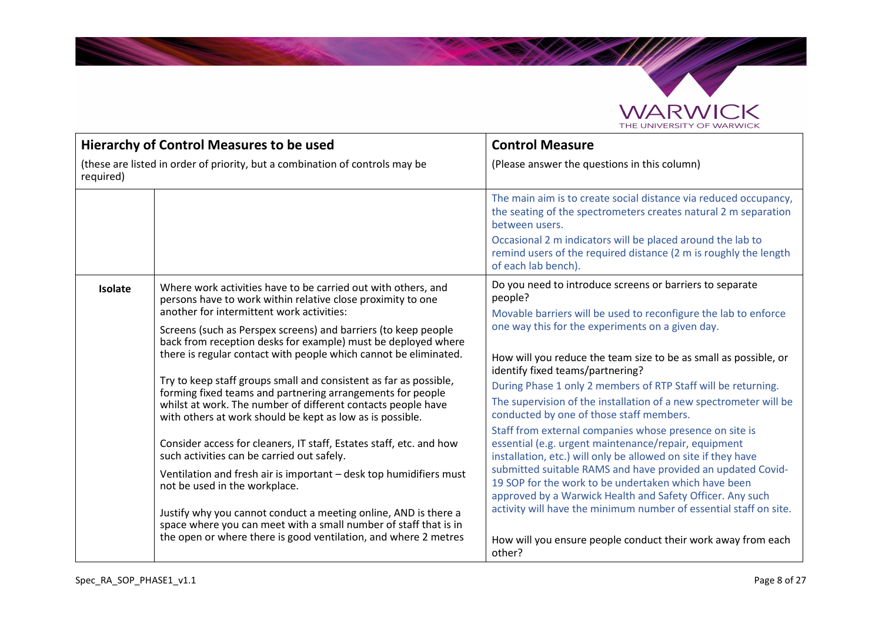

Salah Sepa

| <b>Hierarchy of Control Measures to be used</b>                                           |                                                                                                                                                                                                                                                                                                                                                                                                                                                                                                                                                                                                                                                                                                                                                                                                                                                                                                                                                                                                                                                                                        | <b>Control Measure</b>                                                                                                                                                                                                                                                                                                                                                                                                                                                                                                                                                                                                                                                                                                                                                                                                                                                                                                                                                                                      |
|-------------------------------------------------------------------------------------------|----------------------------------------------------------------------------------------------------------------------------------------------------------------------------------------------------------------------------------------------------------------------------------------------------------------------------------------------------------------------------------------------------------------------------------------------------------------------------------------------------------------------------------------------------------------------------------------------------------------------------------------------------------------------------------------------------------------------------------------------------------------------------------------------------------------------------------------------------------------------------------------------------------------------------------------------------------------------------------------------------------------------------------------------------------------------------------------|-------------------------------------------------------------------------------------------------------------------------------------------------------------------------------------------------------------------------------------------------------------------------------------------------------------------------------------------------------------------------------------------------------------------------------------------------------------------------------------------------------------------------------------------------------------------------------------------------------------------------------------------------------------------------------------------------------------------------------------------------------------------------------------------------------------------------------------------------------------------------------------------------------------------------------------------------------------------------------------------------------------|
| (these are listed in order of priority, but a combination of controls may be<br>required) |                                                                                                                                                                                                                                                                                                                                                                                                                                                                                                                                                                                                                                                                                                                                                                                                                                                                                                                                                                                                                                                                                        | (Please answer the questions in this column)                                                                                                                                                                                                                                                                                                                                                                                                                                                                                                                                                                                                                                                                                                                                                                                                                                                                                                                                                                |
|                                                                                           |                                                                                                                                                                                                                                                                                                                                                                                                                                                                                                                                                                                                                                                                                                                                                                                                                                                                                                                                                                                                                                                                                        | The main aim is to create social distance via reduced occupancy,<br>the seating of the spectrometers creates natural 2 m separation<br>between users.<br>Occasional 2 m indicators will be placed around the lab to<br>remind users of the required distance (2 m is roughly the length                                                                                                                                                                                                                                                                                                                                                                                                                                                                                                                                                                                                                                                                                                                     |
|                                                                                           |                                                                                                                                                                                                                                                                                                                                                                                                                                                                                                                                                                                                                                                                                                                                                                                                                                                                                                                                                                                                                                                                                        | of each lab bench).                                                                                                                                                                                                                                                                                                                                                                                                                                                                                                                                                                                                                                                                                                                                                                                                                                                                                                                                                                                         |
| <b>Isolate</b>                                                                            | Where work activities have to be carried out with others, and<br>persons have to work within relative close proximity to one<br>another for intermittent work activities:<br>Screens (such as Perspex screens) and barriers (to keep people<br>back from reception desks for example) must be deployed where<br>there is regular contact with people which cannot be eliminated.<br>Try to keep staff groups small and consistent as far as possible,<br>forming fixed teams and partnering arrangements for people<br>whilst at work. The number of different contacts people have<br>with others at work should be kept as low as is possible.<br>Consider access for cleaners, IT staff, Estates staff, etc. and how<br>such activities can be carried out safely.<br>Ventilation and fresh air is important - desk top humidifiers must<br>not be used in the workplace.<br>Justify why you cannot conduct a meeting online, AND is there a<br>space where you can meet with a small number of staff that is in<br>the open or where there is good ventilation, and where 2 metres | Do you need to introduce screens or barriers to separate<br>people?<br>Movable barriers will be used to reconfigure the lab to enforce<br>one way this for the experiments on a given day.<br>How will you reduce the team size to be as small as possible, or<br>identify fixed teams/partnering?<br>During Phase 1 only 2 members of RTP Staff will be returning.<br>The supervision of the installation of a new spectrometer will be<br>conducted by one of those staff members.<br>Staff from external companies whose presence on site is<br>essential (e.g. urgent maintenance/repair, equipment<br>installation, etc.) will only be allowed on site if they have<br>submitted suitable RAMS and have provided an updated Covid-<br>19 SOP for the work to be undertaken which have been<br>approved by a Warwick Health and Safety Officer. Any such<br>activity will have the minimum number of essential staff on site.<br>How will you ensure people conduct their work away from each<br>other? |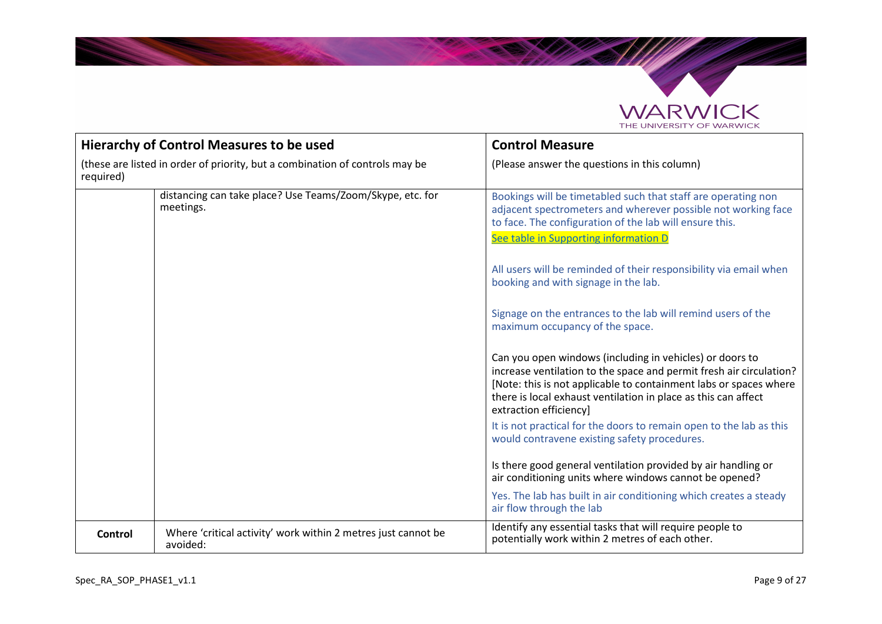

Salah Sepa

| <b>Hierarchy of Control Measures to be used</b>                                           |                                                                           | <b>Control Measure</b>                                                                                                                                                                                                                                                                                                                                                                                                                                                                                                                                                                                                                                                                                                                                                                                                                                                                                                                                                                                                                                                                                    |
|-------------------------------------------------------------------------------------------|---------------------------------------------------------------------------|-----------------------------------------------------------------------------------------------------------------------------------------------------------------------------------------------------------------------------------------------------------------------------------------------------------------------------------------------------------------------------------------------------------------------------------------------------------------------------------------------------------------------------------------------------------------------------------------------------------------------------------------------------------------------------------------------------------------------------------------------------------------------------------------------------------------------------------------------------------------------------------------------------------------------------------------------------------------------------------------------------------------------------------------------------------------------------------------------------------|
| (these are listed in order of priority, but a combination of controls may be<br>required) |                                                                           | (Please answer the questions in this column)                                                                                                                                                                                                                                                                                                                                                                                                                                                                                                                                                                                                                                                                                                                                                                                                                                                                                                                                                                                                                                                              |
|                                                                                           | distancing can take place? Use Teams/Zoom/Skype, etc. for<br>meetings.    | Bookings will be timetabled such that staff are operating non<br>adjacent spectrometers and wherever possible not working face<br>to face. The configuration of the lab will ensure this.<br>See table in Supporting information D<br>All users will be reminded of their responsibility via email when<br>booking and with signage in the lab.<br>Signage on the entrances to the lab will remind users of the<br>maximum occupancy of the space.<br>Can you open windows (including in vehicles) or doors to<br>increase ventilation to the space and permit fresh air circulation?<br>[Note: this is not applicable to containment labs or spaces where<br>there is local exhaust ventilation in place as this can affect<br>extraction efficiency]<br>It is not practical for the doors to remain open to the lab as this<br>would contravene existing safety procedures.<br>Is there good general ventilation provided by air handling or<br>air conditioning units where windows cannot be opened?<br>Yes. The lab has built in air conditioning which creates a steady<br>air flow through the lab |
| <b>Control</b>                                                                            | Where 'critical activity' work within 2 metres just cannot be<br>avoided: | Identify any essential tasks that will require people to<br>potentially work within 2 metres of each other.                                                                                                                                                                                                                                                                                                                                                                                                                                                                                                                                                                                                                                                                                                                                                                                                                                                                                                                                                                                               |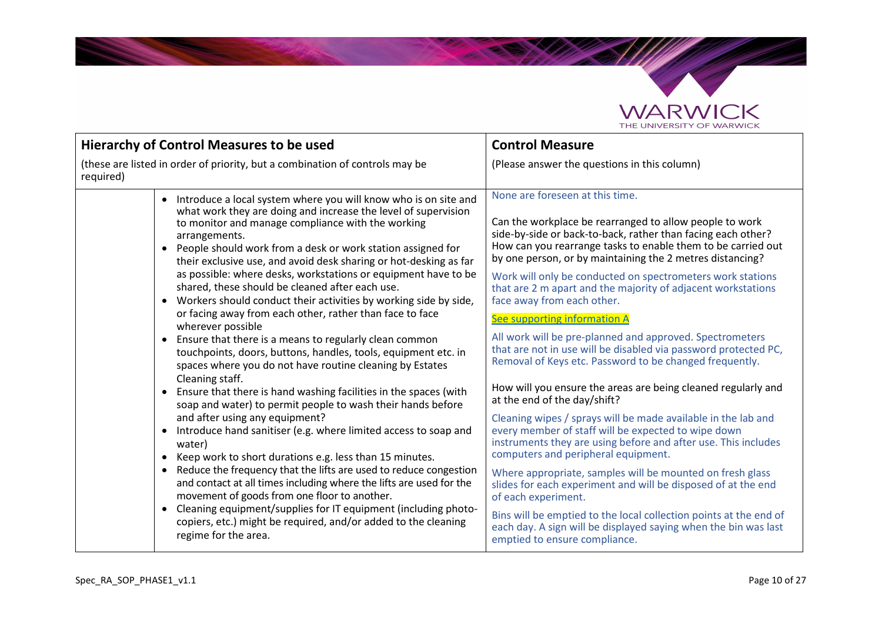

**Salari Career** 

| <b>Hierarchy of Control Measures to be used</b>                                                                                                                                                                                                                                                                                                                                                                                                                                                                                                                                                                                                                                                                                                                                                                                                                                                                                                                                                                                                                                                                                                                                                                                                                                                                                                                                                                                                                                                                                                                                                                            | <b>Control Measure</b>                                                                                                                                                                                                                                                                                                                                                                                                                                                                                                                                                                                                                                                                                                                                                                                                                                                                                                                                                                                                                                                                                                                                                                                                                                                                                                                        |
|----------------------------------------------------------------------------------------------------------------------------------------------------------------------------------------------------------------------------------------------------------------------------------------------------------------------------------------------------------------------------------------------------------------------------------------------------------------------------------------------------------------------------------------------------------------------------------------------------------------------------------------------------------------------------------------------------------------------------------------------------------------------------------------------------------------------------------------------------------------------------------------------------------------------------------------------------------------------------------------------------------------------------------------------------------------------------------------------------------------------------------------------------------------------------------------------------------------------------------------------------------------------------------------------------------------------------------------------------------------------------------------------------------------------------------------------------------------------------------------------------------------------------------------------------------------------------------------------------------------------------|-----------------------------------------------------------------------------------------------------------------------------------------------------------------------------------------------------------------------------------------------------------------------------------------------------------------------------------------------------------------------------------------------------------------------------------------------------------------------------------------------------------------------------------------------------------------------------------------------------------------------------------------------------------------------------------------------------------------------------------------------------------------------------------------------------------------------------------------------------------------------------------------------------------------------------------------------------------------------------------------------------------------------------------------------------------------------------------------------------------------------------------------------------------------------------------------------------------------------------------------------------------------------------------------------------------------------------------------------|
| (these are listed in order of priority, but a combination of controls may be<br>required)                                                                                                                                                                                                                                                                                                                                                                                                                                                                                                                                                                                                                                                                                                                                                                                                                                                                                                                                                                                                                                                                                                                                                                                                                                                                                                                                                                                                                                                                                                                                  | (Please answer the questions in this column)                                                                                                                                                                                                                                                                                                                                                                                                                                                                                                                                                                                                                                                                                                                                                                                                                                                                                                                                                                                                                                                                                                                                                                                                                                                                                                  |
| Introduce a local system where you will know who is on site and<br>$\bullet$<br>what work they are doing and increase the level of supervision<br>to monitor and manage compliance with the working<br>arrangements.<br>People should work from a desk or work station assigned for<br>$\bullet$<br>their exclusive use, and avoid desk sharing or hot-desking as far<br>as possible: where desks, workstations or equipment have to be<br>shared, these should be cleaned after each use.<br>Workers should conduct their activities by working side by side,<br>$\bullet$<br>or facing away from each other, rather than face to face<br>wherever possible<br>Ensure that there is a means to regularly clean common<br>$\bullet$<br>touchpoints, doors, buttons, handles, tools, equipment etc. in<br>spaces where you do not have routine cleaning by Estates<br>Cleaning staff.<br>Ensure that there is hand washing facilities in the spaces (with<br>$\bullet$<br>soap and water) to permit people to wash their hands before<br>and after using any equipment?<br>Introduce hand sanitiser (e.g. where limited access to soap and<br>$\bullet$<br>water)<br>Keep work to short durations e.g. less than 15 minutes.<br>$\bullet$<br>Reduce the frequency that the lifts are used to reduce congestion<br>$\bullet$<br>and contact at all times including where the lifts are used for the<br>movement of goods from one floor to another.<br>Cleaning equipment/supplies for IT equipment (including photo-<br>$\bullet$<br>copiers, etc.) might be required, and/or added to the cleaning<br>regime for the area. | None are foreseen at this time.<br>Can the workplace be rearranged to allow people to work<br>side-by-side or back-to-back, rather than facing each other?<br>How can you rearrange tasks to enable them to be carried out<br>by one person, or by maintaining the 2 metres distancing?<br>Work will only be conducted on spectrometers work stations<br>that are 2 m apart and the majority of adjacent workstations<br>face away from each other.<br>See supporting information A<br>All work will be pre-planned and approved. Spectrometers<br>that are not in use will be disabled via password protected PC,<br>Removal of Keys etc. Password to be changed frequently.<br>How will you ensure the areas are being cleaned regularly and<br>at the end of the day/shift?<br>Cleaning wipes / sprays will be made available in the lab and<br>every member of staff will be expected to wipe down<br>instruments they are using before and after use. This includes<br>computers and peripheral equipment.<br>Where appropriate, samples will be mounted on fresh glass<br>slides for each experiment and will be disposed of at the end<br>of each experiment.<br>Bins will be emptied to the local collection points at the end of<br>each day. A sign will be displayed saying when the bin was last<br>emptied to ensure compliance. |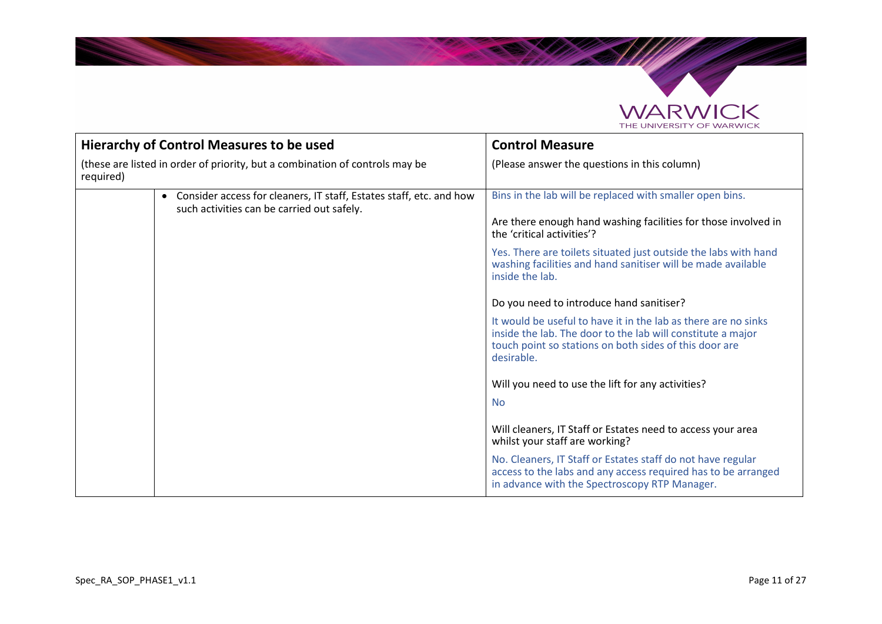

The Company

| <b>Hierarchy of Control Measures to be used</b>                                           |                                                                                                                                | <b>Control Measure</b>                                                                                                                                                                                |
|-------------------------------------------------------------------------------------------|--------------------------------------------------------------------------------------------------------------------------------|-------------------------------------------------------------------------------------------------------------------------------------------------------------------------------------------------------|
| (these are listed in order of priority, but a combination of controls may be<br>required) |                                                                                                                                | (Please answer the questions in this column)                                                                                                                                                          |
|                                                                                           | Consider access for cleaners, IT staff, Estates staff, etc. and how<br>$\bullet$<br>such activities can be carried out safely. | Bins in the lab will be replaced with smaller open bins.                                                                                                                                              |
|                                                                                           |                                                                                                                                | Are there enough hand washing facilities for those involved in<br>the 'critical activities'?                                                                                                          |
|                                                                                           |                                                                                                                                | Yes. There are toilets situated just outside the labs with hand<br>washing facilities and hand sanitiser will be made available<br>inside the lab.                                                    |
|                                                                                           |                                                                                                                                | Do you need to introduce hand sanitiser?                                                                                                                                                              |
|                                                                                           |                                                                                                                                | It would be useful to have it in the lab as there are no sinks<br>inside the lab. The door to the lab will constitute a major<br>touch point so stations on both sides of this door are<br>desirable. |
|                                                                                           |                                                                                                                                | Will you need to use the lift for any activities?                                                                                                                                                     |
|                                                                                           |                                                                                                                                | <b>No</b>                                                                                                                                                                                             |
|                                                                                           |                                                                                                                                | Will cleaners, IT Staff or Estates need to access your area<br>whilst your staff are working?                                                                                                         |
|                                                                                           |                                                                                                                                | No. Cleaners, IT Staff or Estates staff do not have regular<br>access to the labs and any access required has to be arranged<br>in advance with the Spectroscopy RTP Manager.                         |

<u>andre de la c</u>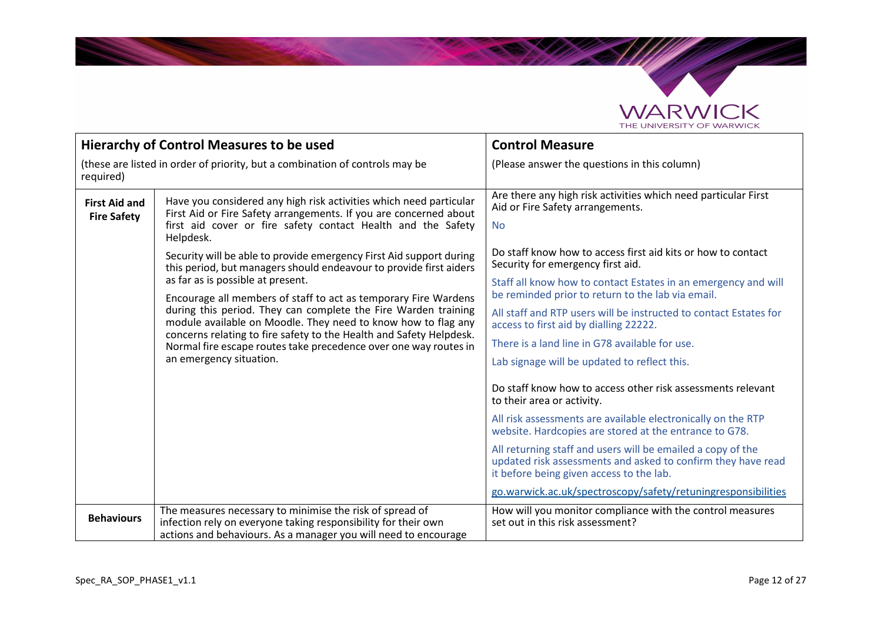

SAMAS

| <b>Hierarchy of Control Measures to be used</b>                                           |                                                                                                                                                                                                                                                                                                       | <b>Control Measure</b>                                                                                                                                                  |
|-------------------------------------------------------------------------------------------|-------------------------------------------------------------------------------------------------------------------------------------------------------------------------------------------------------------------------------------------------------------------------------------------------------|-------------------------------------------------------------------------------------------------------------------------------------------------------------------------|
| (these are listed in order of priority, but a combination of controls may be<br>required) |                                                                                                                                                                                                                                                                                                       | (Please answer the questions in this column)                                                                                                                            |
| <b>First Aid and</b><br><b>Fire Safety</b>                                                | Have you considered any high risk activities which need particular<br>First Aid or Fire Safety arrangements. If you are concerned about<br>first aid cover or fire safety contact Health and the Safety<br>Helpdesk.                                                                                  | Are there any high risk activities which need particular First<br>Aid or Fire Safety arrangements.<br><b>No</b>                                                         |
|                                                                                           | Security will be able to provide emergency First Aid support during<br>this period, but managers should endeavour to provide first aiders                                                                                                                                                             | Do staff know how to access first aid kits or how to contact<br>Security for emergency first aid.                                                                       |
|                                                                                           | as far as is possible at present.<br>Encourage all members of staff to act as temporary Fire Wardens                                                                                                                                                                                                  | Staff all know how to contact Estates in an emergency and will<br>be reminded prior to return to the lab via email.                                                     |
|                                                                                           | during this period. They can complete the Fire Warden training<br>module available on Moodle. They need to know how to flag any<br>concerns relating to fire safety to the Health and Safety Helpdesk.<br>Normal fire escape routes take precedence over one way routes in<br>an emergency situation. | All staff and RTP users will be instructed to contact Estates for<br>access to first aid by dialling 22222.                                                             |
|                                                                                           |                                                                                                                                                                                                                                                                                                       | There is a land line in G78 available for use.                                                                                                                          |
|                                                                                           |                                                                                                                                                                                                                                                                                                       | Lab signage will be updated to reflect this.                                                                                                                            |
|                                                                                           |                                                                                                                                                                                                                                                                                                       | Do staff know how to access other risk assessments relevant<br>to their area or activity.                                                                               |
|                                                                                           |                                                                                                                                                                                                                                                                                                       | All risk assessments are available electronically on the RTP<br>website. Hardcopies are stored at the entrance to G78.                                                  |
|                                                                                           |                                                                                                                                                                                                                                                                                                       | All returning staff and users will be emailed a copy of the<br>updated risk assessments and asked to confirm they have read<br>it before being given access to the lab. |
|                                                                                           |                                                                                                                                                                                                                                                                                                       | go.warwick.ac.uk/spectroscopy/safety/retuningresponsibilities                                                                                                           |
| <b>Behaviours</b>                                                                         | The measures necessary to minimise the risk of spread of<br>infection rely on everyone taking responsibility for their own<br>actions and behaviours. As a manager you will need to encourage                                                                                                         | How will you monitor compliance with the control measures<br>set out in this risk assessment?                                                                           |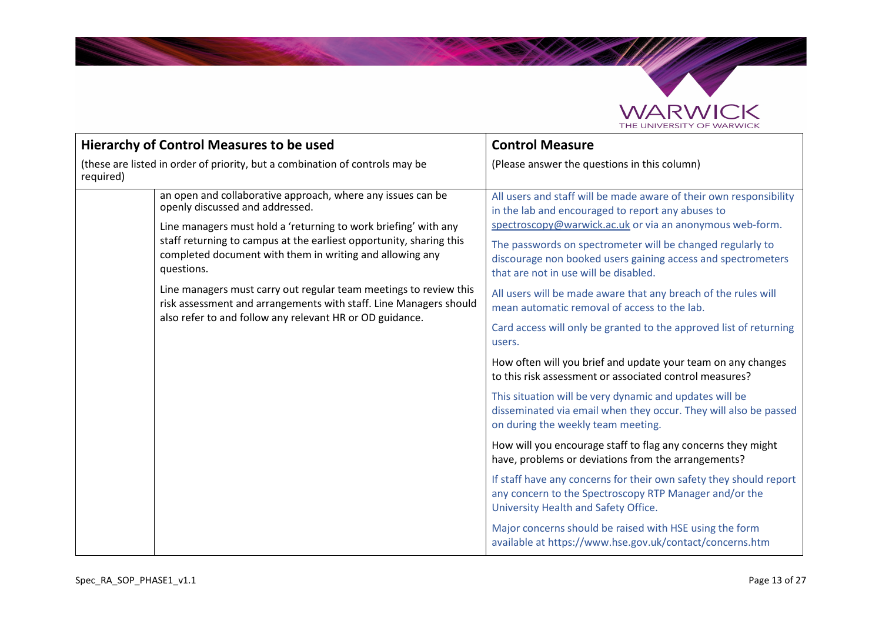

**School College College** 

| <b>Hierarchy of Control Measures to be used</b>                                                                                                                                                                                                                                                                                                                                                                                                                                                                          |                                                                                                                                                                                                                                                                                                                                                            | <b>Control Measure</b>                                                                                                                                               |
|--------------------------------------------------------------------------------------------------------------------------------------------------------------------------------------------------------------------------------------------------------------------------------------------------------------------------------------------------------------------------------------------------------------------------------------------------------------------------------------------------------------------------|------------------------------------------------------------------------------------------------------------------------------------------------------------------------------------------------------------------------------------------------------------------------------------------------------------------------------------------------------------|----------------------------------------------------------------------------------------------------------------------------------------------------------------------|
| (these are listed in order of priority, but a combination of controls may be<br>required)                                                                                                                                                                                                                                                                                                                                                                                                                                |                                                                                                                                                                                                                                                                                                                                                            | (Please answer the questions in this column)                                                                                                                         |
| an open and collaborative approach, where any issues can be<br>openly discussed and addressed.<br>Line managers must hold a 'returning to work briefing' with any<br>staff returning to campus at the earliest opportunity, sharing this<br>completed document with them in writing and allowing any<br>questions.<br>Line managers must carry out regular team meetings to review this<br>risk assessment and arrangements with staff. Line Managers should<br>also refer to and follow any relevant HR or OD guidance. | All users and staff will be made aware of their own responsibility<br>in the lab and encouraged to report any abuses to<br>spectroscopy@warwick.ac.uk or via an anonymous web-form.<br>The passwords on spectrometer will be changed regularly to<br>discourage non booked users gaining access and spectrometers<br>that are not in use will be disabled. |                                                                                                                                                                      |
|                                                                                                                                                                                                                                                                                                                                                                                                                                                                                                                          | All users will be made aware that any breach of the rules will<br>mean automatic removal of access to the lab.                                                                                                                                                                                                                                             |                                                                                                                                                                      |
|                                                                                                                                                                                                                                                                                                                                                                                                                                                                                                                          |                                                                                                                                                                                                                                                                                                                                                            | Card access will only be granted to the approved list of returning<br>users.                                                                                         |
|                                                                                                                                                                                                                                                                                                                                                                                                                                                                                                                          |                                                                                                                                                                                                                                                                                                                                                            | How often will you brief and update your team on any changes<br>to this risk assessment or associated control measures?                                              |
|                                                                                                                                                                                                                                                                                                                                                                                                                                                                                                                          |                                                                                                                                                                                                                                                                                                                                                            | This situation will be very dynamic and updates will be<br>disseminated via email when they occur. They will also be passed<br>on during the weekly team meeting.    |
|                                                                                                                                                                                                                                                                                                                                                                                                                                                                                                                          |                                                                                                                                                                                                                                                                                                                                                            | How will you encourage staff to flag any concerns they might<br>have, problems or deviations from the arrangements?                                                  |
|                                                                                                                                                                                                                                                                                                                                                                                                                                                                                                                          |                                                                                                                                                                                                                                                                                                                                                            | If staff have any concerns for their own safety they should report<br>any concern to the Spectroscopy RTP Manager and/or the<br>University Health and Safety Office. |
|                                                                                                                                                                                                                                                                                                                                                                                                                                                                                                                          |                                                                                                                                                                                                                                                                                                                                                            | Major concerns should be raised with HSE using the form<br>available at https://www.hse.gov.uk/contact/concerns.htm                                                  |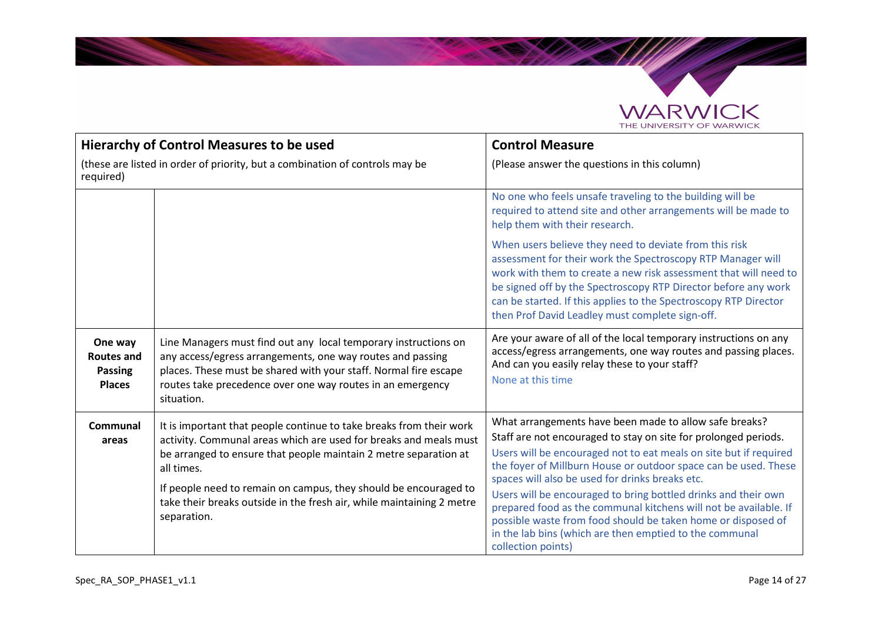

SAMAS

|                                                                 | <b>Hierarchy of Control Measures to be used</b>                                                                                                                                                                                                                                                                                                                                        | <b>Control Measure</b>                                                                                                                                                                                                                                                                                                                                                                                                                                                                                                                                                                                      |  |  |  |  |  |
|-----------------------------------------------------------------|----------------------------------------------------------------------------------------------------------------------------------------------------------------------------------------------------------------------------------------------------------------------------------------------------------------------------------------------------------------------------------------|-------------------------------------------------------------------------------------------------------------------------------------------------------------------------------------------------------------------------------------------------------------------------------------------------------------------------------------------------------------------------------------------------------------------------------------------------------------------------------------------------------------------------------------------------------------------------------------------------------------|--|--|--|--|--|
| required)                                                       | (these are listed in order of priority, but a combination of controls may be                                                                                                                                                                                                                                                                                                           | (Please answer the questions in this column)                                                                                                                                                                                                                                                                                                                                                                                                                                                                                                                                                                |  |  |  |  |  |
|                                                                 |                                                                                                                                                                                                                                                                                                                                                                                        | No one who feels unsafe traveling to the building will be<br>required to attend site and other arrangements will be made to<br>help them with their research.                                                                                                                                                                                                                                                                                                                                                                                                                                               |  |  |  |  |  |
|                                                                 |                                                                                                                                                                                                                                                                                                                                                                                        | When users believe they need to deviate from this risk<br>assessment for their work the Spectroscopy RTP Manager will<br>work with them to create a new risk assessment that will need to<br>be signed off by the Spectroscopy RTP Director before any work<br>can be started. If this applies to the Spectroscopy RTP Director<br>then Prof David Leadley must complete sign-off.                                                                                                                                                                                                                          |  |  |  |  |  |
| One way<br><b>Routes and</b><br><b>Passing</b><br><b>Places</b> | Line Managers must find out any local temporary instructions on<br>any access/egress arrangements, one way routes and passing<br>places. These must be shared with your staff. Normal fire escape<br>routes take precedence over one way routes in an emergency<br>situation.                                                                                                          | Are your aware of all of the local temporary instructions on any<br>access/egress arrangements, one way routes and passing places.<br>And can you easily relay these to your staff?<br>None at this time                                                                                                                                                                                                                                                                                                                                                                                                    |  |  |  |  |  |
| Communal<br>areas                                               | It is important that people continue to take breaks from their work<br>activity. Communal areas which are used for breaks and meals must<br>be arranged to ensure that people maintain 2 metre separation at<br>all times.<br>If people need to remain on campus, they should be encouraged to<br>take their breaks outside in the fresh air, while maintaining 2 metre<br>separation. | What arrangements have been made to allow safe breaks?<br>Staff are not encouraged to stay on site for prolonged periods.<br>Users will be encouraged not to eat meals on site but if required<br>the foyer of Millburn House or outdoor space can be used. These<br>spaces will also be used for drinks breaks etc.<br>Users will be encouraged to bring bottled drinks and their own<br>prepared food as the communal kitchens will not be available. If<br>possible waste from food should be taken home or disposed of<br>in the lab bins (which are then emptied to the communal<br>collection points) |  |  |  |  |  |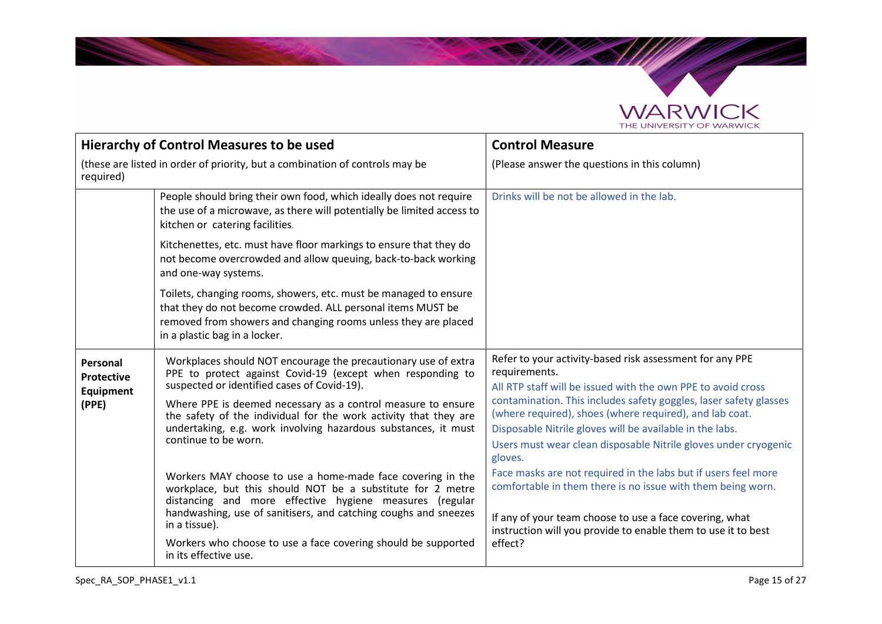

**SAMA** 

|                                                     | <b>Hierarchy of Control Measures to be used</b>                                                                                                                                                                                                                                                                                                                                                                                                                         | <b>Control Measure</b>                                                                                                                                                                                                                                                                                                                                                                                                                                                                |  |  |  |  |  |
|-----------------------------------------------------|-------------------------------------------------------------------------------------------------------------------------------------------------------------------------------------------------------------------------------------------------------------------------------------------------------------------------------------------------------------------------------------------------------------------------------------------------------------------------|---------------------------------------------------------------------------------------------------------------------------------------------------------------------------------------------------------------------------------------------------------------------------------------------------------------------------------------------------------------------------------------------------------------------------------------------------------------------------------------|--|--|--|--|--|
| required)                                           | (these are listed in order of priority, but a combination of controls may be                                                                                                                                                                                                                                                                                                                                                                                            | (Please answer the questions in this column)                                                                                                                                                                                                                                                                                                                                                                                                                                          |  |  |  |  |  |
|                                                     | People should bring their own food, which ideally does not require<br>the use of a microwave, as there will potentially be limited access to<br>kitchen or catering facilities.                                                                                                                                                                                                                                                                                         | Drinks will be not be allowed in the lab.                                                                                                                                                                                                                                                                                                                                                                                                                                             |  |  |  |  |  |
|                                                     | Kitchenettes, etc. must have floor markings to ensure that they do<br>not become overcrowded and allow queuing, back-to-back working<br>and one-way systems.                                                                                                                                                                                                                                                                                                            |                                                                                                                                                                                                                                                                                                                                                                                                                                                                                       |  |  |  |  |  |
|                                                     | Toilets, changing rooms, showers, etc. must be managed to ensure<br>that they do not become crowded. ALL personal items MUST be<br>removed from showers and changing rooms unless they are placed<br>in a plastic bag in a locker.                                                                                                                                                                                                                                      |                                                                                                                                                                                                                                                                                                                                                                                                                                                                                       |  |  |  |  |  |
| Personal<br><b>Protective</b><br>Equipment<br>(PPE) | Workplaces should NOT encourage the precautionary use of extra<br>PPE to protect against Covid-19 (except when responding to<br>suspected or identified cases of Covid-19).<br>Where PPE is deemed necessary as a control measure to ensure<br>the safety of the individual for the work activity that they are<br>undertaking, e.g. work involving hazardous substances, it must<br>continue to be worn.<br>Workers MAY choose to use a home-made face covering in the | Refer to your activity-based risk assessment for any PPE<br>requirements.<br>All RTP staff will be issued with the own PPE to avoid cross<br>contamination. This includes safety goggles, laser safety glasses<br>(where required), shoes (where required), and lab coat.<br>Disposable Nitrile gloves will be available in the labs.<br>Users must wear clean disposable Nitrile gloves under cryogenic<br>gloves.<br>Face masks are not required in the labs but if users feel more |  |  |  |  |  |
|                                                     | workplace, but this should NOT be a substitute for 2 metre<br>distancing and more effective hygiene measures (regular<br>handwashing, use of sanitisers, and catching coughs and sneezes<br>in a tissue).<br>Workers who choose to use a face covering should be supported<br>in its effective use.                                                                                                                                                                     | comfortable in them there is no issue with them being worn.<br>If any of your team choose to use a face covering, what<br>instruction will you provide to enable them to use it to best<br>effect?                                                                                                                                                                                                                                                                                    |  |  |  |  |  |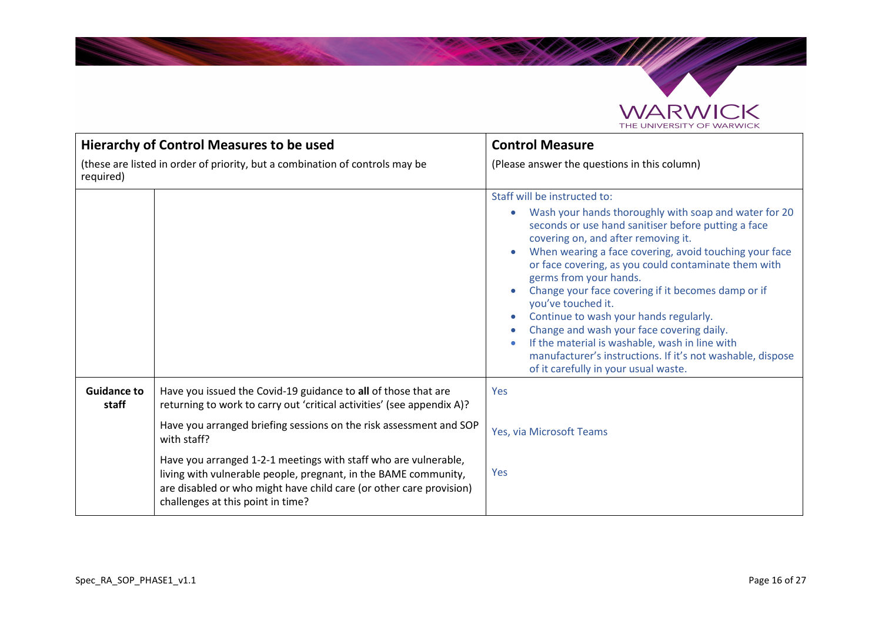

Santa Carpenter

|                             | Hierarchy of Control Measures to be used                                                                                                                                                                                                       | <b>Control Measure</b>                                                                                                                                                                                                                                                                                                                                                                                                                                                                                                                                                                                                                                     |  |  |  |  |  |
|-----------------------------|------------------------------------------------------------------------------------------------------------------------------------------------------------------------------------------------------------------------------------------------|------------------------------------------------------------------------------------------------------------------------------------------------------------------------------------------------------------------------------------------------------------------------------------------------------------------------------------------------------------------------------------------------------------------------------------------------------------------------------------------------------------------------------------------------------------------------------------------------------------------------------------------------------------|--|--|--|--|--|
| required)                   | (these are listed in order of priority, but a combination of controls may be                                                                                                                                                                   | (Please answer the questions in this column)                                                                                                                                                                                                                                                                                                                                                                                                                                                                                                                                                                                                               |  |  |  |  |  |
|                             |                                                                                                                                                                                                                                                | Staff will be instructed to:<br>Wash your hands thoroughly with soap and water for 20<br>seconds or use hand sanitiser before putting a face<br>covering on, and after removing it.<br>When wearing a face covering, avoid touching your face<br>or face covering, as you could contaminate them with<br>germs from your hands.<br>Change your face covering if it becomes damp or if<br>you've touched it.<br>Continue to wash your hands regularly.<br>Change and wash your face covering daily.<br>If the material is washable, wash in line with<br>manufacturer's instructions. If it's not washable, dispose<br>of it carefully in your usual waste. |  |  |  |  |  |
| <b>Guidance to</b><br>staff | Have you issued the Covid-19 guidance to all of those that are<br>returning to work to carry out 'critical activities' (see appendix A)?                                                                                                       | Yes                                                                                                                                                                                                                                                                                                                                                                                                                                                                                                                                                                                                                                                        |  |  |  |  |  |
|                             | Have you arranged briefing sessions on the risk assessment and SOP<br>with staff?                                                                                                                                                              | Yes, via Microsoft Teams                                                                                                                                                                                                                                                                                                                                                                                                                                                                                                                                                                                                                                   |  |  |  |  |  |
|                             | Have you arranged 1-2-1 meetings with staff who are vulnerable,<br>living with vulnerable people, pregnant, in the BAME community,<br>are disabled or who might have child care (or other care provision)<br>challenges at this point in time? | Yes                                                                                                                                                                                                                                                                                                                                                                                                                                                                                                                                                                                                                                                        |  |  |  |  |  |

<u>andré de la c</u>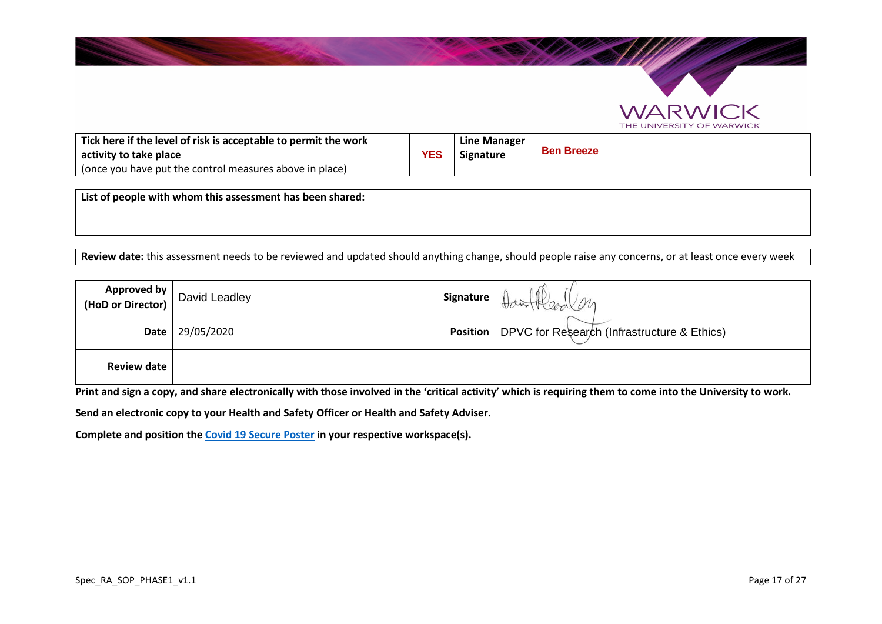

| Tick here if the level of risk is acceptable to permit the work<br>activity to take place<br>(once you have put the control measures above in place) | YES | Line Manager<br>Signature | <b>Ben Breeze</b> |
|------------------------------------------------------------------------------------------------------------------------------------------------------|-----|---------------------------|-------------------|
|                                                                                                                                                      |     |                           |                   |

**List of people with whom this assessment has been shared:**

**Review date:** this assessment needs to be reviewed and updated should anything change, should people raise any concerns, or at least once every week

| <b>Approved by</b><br>(HoD or Director) | David Leadley | Signature | Home M                                                        |
|-----------------------------------------|---------------|-----------|---------------------------------------------------------------|
| <b>Date</b>                             | 29/05/2020    |           | <b>Position</b>   DPVC for Research (Infrastructure & Ethics) |
| <b>Review date</b>                      |               |           |                                                               |

**Print and sign a copy, and share electronically with those involved in the 'critical activity' which is requiring them to come into the University to work.** 

**Send an electronic copy to your Health and Safety Officer or Health and Safety Adviser.** 

**Complete and position the Covid 19 Secure Poster in your respective workspace(s).** 

**WARWK** 

THE UNIVERSITY OF WARWICK

 $\supset$ K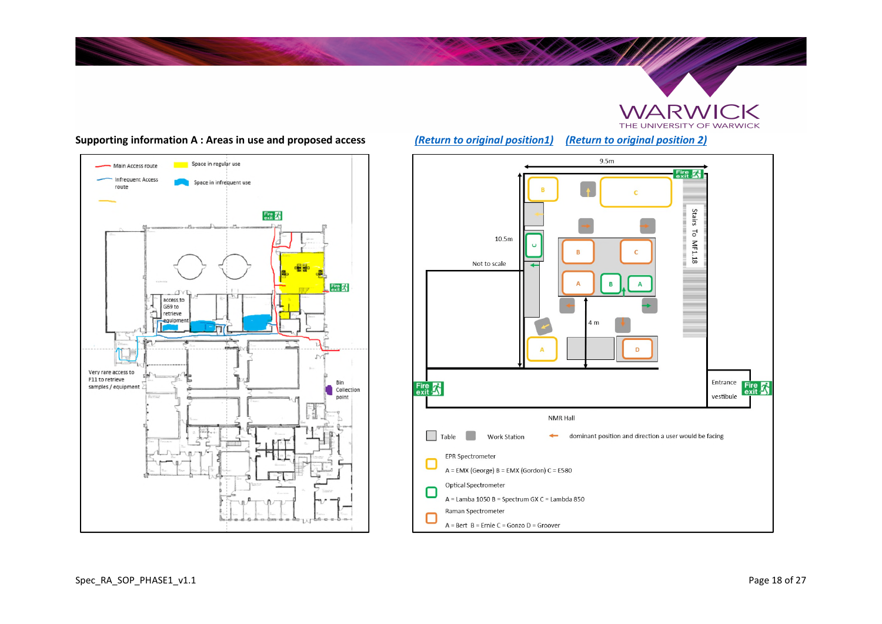



#### **Supporting information A : Areas in use and proposed access** *(Return to original position1) (Return to original position 2)*

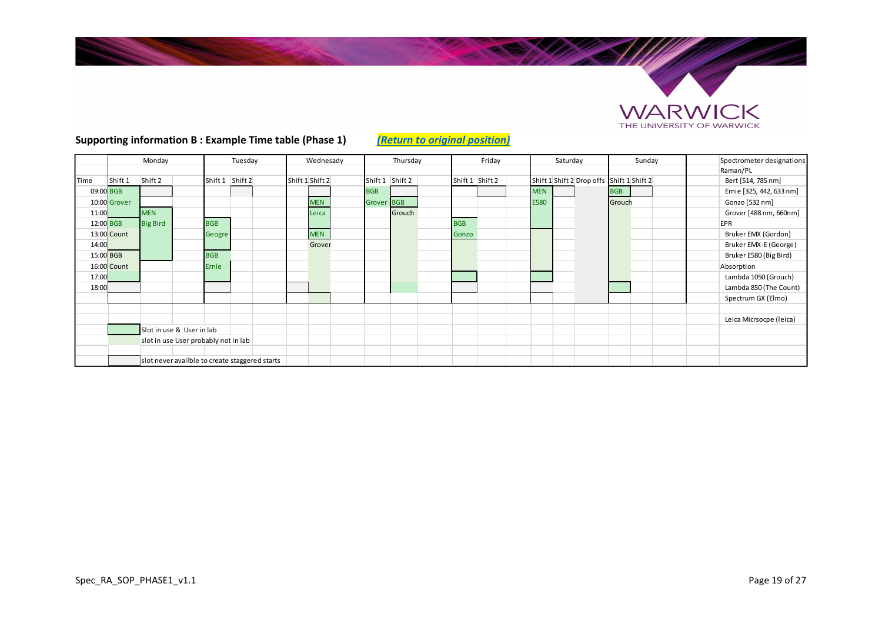

SAMAS

#### Spectrometer designations Raman/PL<br>Bert [514, 785 nm] Time Shift 1 Shift 2 Shift 1 Shift 2 Shift 1 Shift 2 Shift 1 Shift 2 Shift 1 Shift 2 Shift 1 Shift 2 Drop offs Shift 1 Shift 2 Drop offs Shift 1 Shift 2 Bert [514, 785 nm] 09:00 BGB BGB MEN BGB Ernie [325, 442, 633 nm] 10:00 <mark>Grover |</mark> | | | | | MEN | | Grover BGB | | | | | E580 | | Grouch | | | Gonzo [532 nm] 11:00 MEN REIN Leica (Grouch Grouch Grouch Grouch December 1988 nm, 660nm] 12:00 BGB Big Bird BGB BGB EPR 13:00 Count Geogre MEN Gonzo Bruker EMX (Gordon) 14:00 Grover Bruker EMX-E (George) 15:00 BGB BGB Bruker E580 (Big Bird) 16:00 Count Ernie Absorption 17:00 Lambda 1050 (Grouch) 18:00 Lambda 850 (The Count) Spectrum GX (Elmo) Leica Micrsocpe (leica) Slot in use & User in lab slot in use User probably not in lab slot never availble to create staggered starts Monday | Tuesday | Wednesady | Thursday | Friday | Saturday | Sunday

## **Supporting information B : Example Time table (Phase 1)** *(Return to original position)*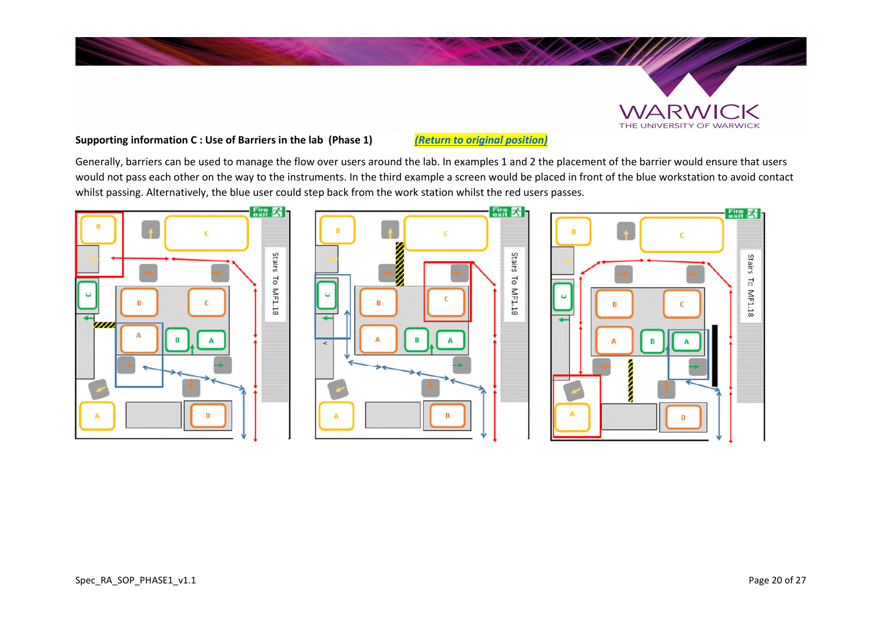## **Supporting information C : Use of Barriers in the lab (Phase 1)** *(Return to original position)*

Generally, barriers can be used to manage the flow over users around the lab. In examples 1 and 2 the placement of the barrier would ensure that users would not pass each other on the way to the instruments. In the third example a screen would be placed in front of the blue workstation to avoid contact whilst passing. Alternatively, the blue user could step back from the work station whilst the red users passes.



WARWICK THE UNIVERSITY OF WARWICK

 $Fix$   $\mathbb{Z}$ 

Stairs To MF1.18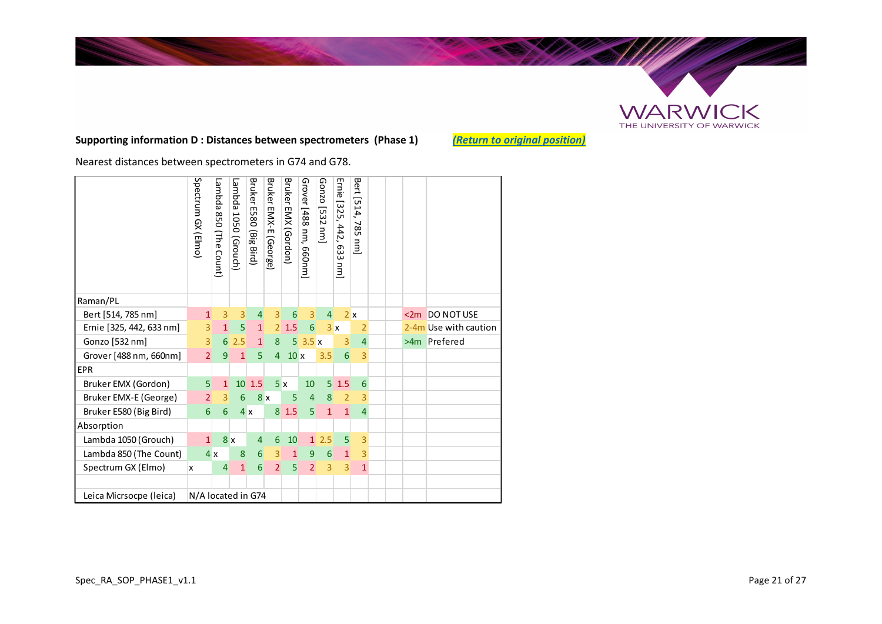

## **Supporting information D : Distances between spectrometers (Phase 1)** *(Return to original position)*

**SALES BAR** 

Nearest distances between spectrometers in G74 and G78.

|                                               | Spectrum GX (Elmo) | Lambda<br>058<br>(The<br>Count) | Lambda 1050 (Grouch) | Bruker<br>E580 (Big<br>Bird) | Bruker EMX-E<br>(George) | Bruker<br>EMX (Gordon) | Grover [488 nm, 660nm] | Gonzo [532<br>$\overline{a}$ | Ernie [325, 442, 633<br>j | Bert [514,<br>785<br>E |  |                       |
|-----------------------------------------------|--------------------|---------------------------------|----------------------|------------------------------|--------------------------|------------------------|------------------------|------------------------------|---------------------------|------------------------|--|-----------------------|
| Raman/PL                                      |                    |                                 |                      |                              |                          |                        |                        |                              |                           |                        |  |                       |
| Bert [514, 785 nm]                            | $\overline{1}$     | 3                               | 3                    | $\overline{4}$               | $\overline{3}$           | 6                      | 3                      | $\overline{4}$               |                           | 2x                     |  | <2m DO NOT USE        |
| Ernie [325, 442, 633 nm]                      | $\overline{3}$     | $\mathbf{1}$                    | 5                    | $\mathbf{1}$                 | $\overline{2}$           | 1.5                    | $6 \mid$               |                              | 3x                        | $\overline{2}$         |  | 2-4m Use with caution |
| Gonzo [532 nm]                                | $\overline{3}$     | 6                               | 2.5                  | 1                            | 8                        | 5 <sup>1</sup>         | 3.5x                   |                              | 3                         | $\overline{4}$         |  | >4m Prefered          |
| Grover [488 nm, 660nm]                        | $\overline{2}$     | 9                               | $\mathbf{1}$         | 5                            | $\overline{4}$           | 10x                    |                        | 3.5                          | 6                         | 3                      |  |                       |
| <b>EPR</b>                                    |                    |                                 |                      |                              |                          |                        |                        |                              |                           |                        |  |                       |
| Bruker EMX (Gordon)                           | $\overline{5}$     | $\mathbf{1}$                    | 10 <sup>°</sup>      | 1.5                          |                          | 5x                     | 10                     | 5 <sup>1</sup>               | 1.5                       | 6                      |  |                       |
| Bruker EMX-E (George)                         | $\overline{2}$     | $\overline{3}$                  | 6                    |                              | 8x                       | 5                      | $\overline{4}$         | 8                            | $\overline{2}$            | 3                      |  |                       |
| Bruker E580 (Big Bird)                        | 6                  | 6                               |                      | 4x                           |                          | 81.5                   | 5                      | $\mathbf{1}$                 | $\mathbf{1}$              | $\overline{4}$         |  |                       |
| Absorption                                    |                    |                                 |                      |                              |                          |                        |                        |                              |                           |                        |  |                       |
| Lambda 1050 (Grouch)                          | $\mathbf{1}$       |                                 | 8x                   | 4                            | 6                        | 10                     | $\mathbf{1}$           | 2.5                          | 5                         | 3                      |  |                       |
| Lambda 850 (The Count)                        |                    | 4x                              | 8                    | 6                            | 3                        | 1                      | 9                      | 6                            | $\mathbf{1}$              | 3                      |  |                       |
| Spectrum GX (Elmo)                            | x                  | $\vert 4 \vert$                 | $\mathbf{1}$         | 6                            | $\overline{2}$           | 5                      | $\overline{2}$         | 3                            | 3                         | $\mathbf{1}$           |  |                       |
|                                               |                    |                                 |                      |                              |                          |                        |                        |                              |                           |                        |  |                       |
| Leica Micrsocpe (leica)<br>N/A located in G74 |                    |                                 |                      |                              |                          |                        |                        |                              |                           |                        |  |                       |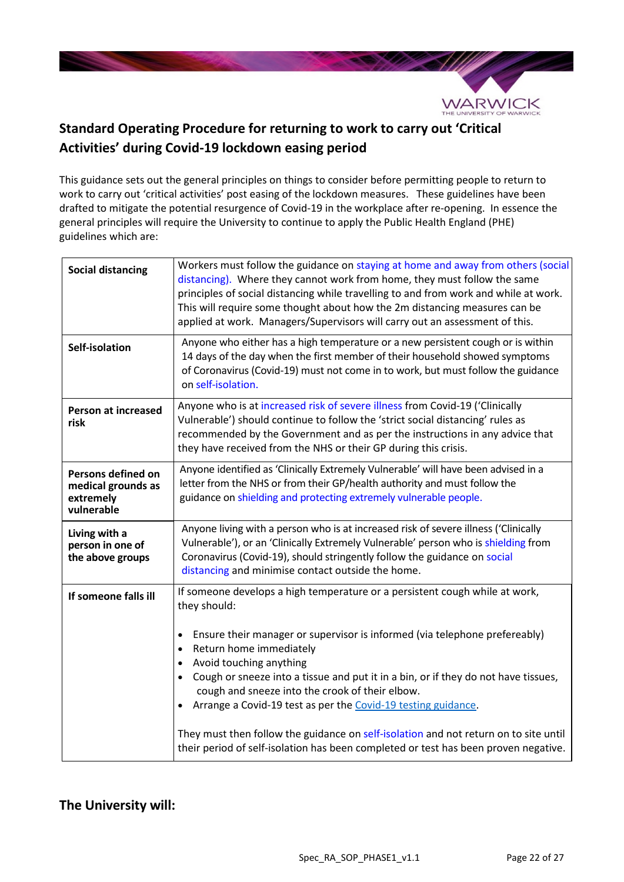

# **Standard Operating Procedure for returning to work to carry out 'Critical Activities' during Covid-19 lockdown easing period**

This guidance sets out the general principles on things to consider before permitting people to return to work to carry out 'critical activities' post easing of the lockdown measures. These guidelines have been drafted to mitigate the potential resurgence of Covid-19 in the workplace after re-opening. In essence the general principles will require the University to continue to apply the Public Health England (PHE) guidelines which are:

| <b>Social distancing</b>                                            | Workers must follow the guidance on staying at home and away from others (social<br>distancing). Where they cannot work from home, they must follow the same<br>principles of social distancing while travelling to and from work and while at work.<br>This will require some thought about how the 2m distancing measures can be<br>applied at work. Managers/Supervisors will carry out an assessment of this.                                                                                                                                                                                                                                                                         |
|---------------------------------------------------------------------|-------------------------------------------------------------------------------------------------------------------------------------------------------------------------------------------------------------------------------------------------------------------------------------------------------------------------------------------------------------------------------------------------------------------------------------------------------------------------------------------------------------------------------------------------------------------------------------------------------------------------------------------------------------------------------------------|
| Self-isolation                                                      | Anyone who either has a high temperature or a new persistent cough or is within<br>14 days of the day when the first member of their household showed symptoms<br>of Coronavirus (Covid-19) must not come in to work, but must follow the guidance<br>on self-isolation.                                                                                                                                                                                                                                                                                                                                                                                                                  |
| <b>Person at increased</b><br>risk                                  | Anyone who is at increased risk of severe illness from Covid-19 ('Clinically<br>Vulnerable') should continue to follow the 'strict social distancing' rules as<br>recommended by the Government and as per the instructions in any advice that<br>they have received from the NHS or their GP during this crisis.                                                                                                                                                                                                                                                                                                                                                                         |
| Persons defined on<br>medical grounds as<br>extremely<br>vulnerable | Anyone identified as 'Clinically Extremely Vulnerable' will have been advised in a<br>letter from the NHS or from their GP/health authority and must follow the<br>guidance on shielding and protecting extremely vulnerable people.                                                                                                                                                                                                                                                                                                                                                                                                                                                      |
| Living with a<br>person in one of<br>the above groups               | Anyone living with a person who is at increased risk of severe illness ('Clinically<br>Vulnerable'), or an 'Clinically Extremely Vulnerable' person who is shielding from<br>Coronavirus (Covid-19), should stringently follow the guidance on social<br>distancing and minimise contact outside the home.                                                                                                                                                                                                                                                                                                                                                                                |
| If someone falls ill                                                | If someone develops a high temperature or a persistent cough while at work,<br>they should:<br>Ensure their manager or supervisor is informed (via telephone prefereably)<br>$\bullet$<br>Return home immediately<br>$\bullet$<br>Avoid touching anything<br>$\bullet$<br>Cough or sneeze into a tissue and put it in a bin, or if they do not have tissues,<br>$\bullet$<br>cough and sneeze into the crook of their elbow.<br>Arrange a Covid-19 test as per the Covid-19 testing guidance.<br>$\bullet$<br>They must then follow the guidance on self-isolation and not return on to site until<br>their period of self-isolation has been completed or test has been proven negative. |

## **The University will:**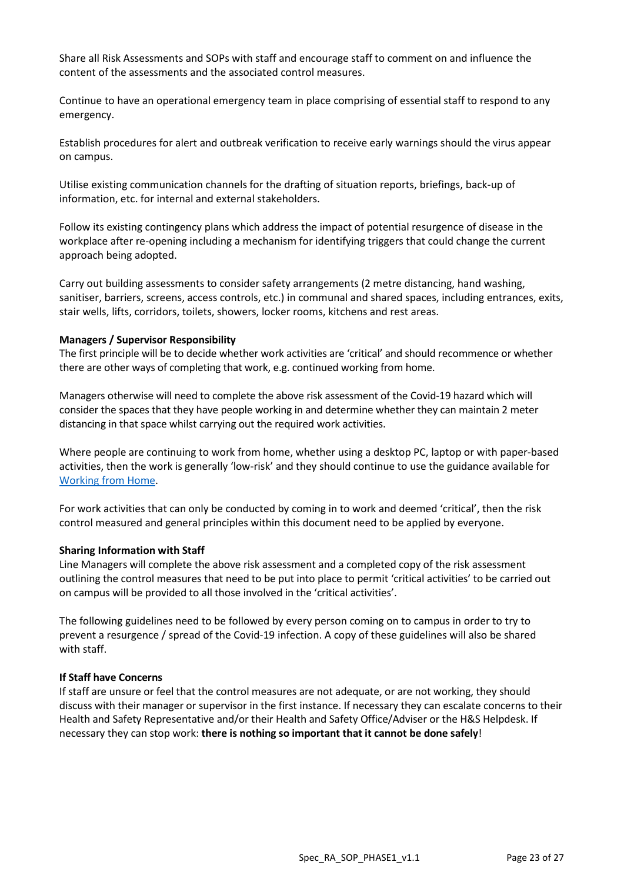Share all Risk Assessments and SOPs with staff and encourage staff to comment on and influence the content of the assessments and the associated control measures.

Continue to have an operational emergency team in place comprising of essential staff to respond to any emergency.

Establish procedures for alert and outbreak verification to receive early warnings should the virus appear on campus.

Utilise existing communication channels for the drafting of situation reports, briefings, back-up of information, etc. for internal and external stakeholders.

Follow its existing contingency plans which address the impact of potential resurgence of disease in the workplace after re-opening including a mechanism for identifying triggers that could change the current approach being adopted.

Carry out building assessments to consider safety arrangements (2 metre distancing, hand washing, sanitiser, barriers, screens, access controls, etc.) in communal and shared spaces, including entrances, exits, stair wells, lifts, corridors, toilets, showers, locker rooms, kitchens and rest areas.

## **Managers / Supervisor Responsibility**

The first principle will be to decide whether work activities are 'critical' and should recommence or whether there are other ways of completing that work, e.g. continued working from home.

Managers otherwise will need to complete the above risk assessment of the Covid-19 hazard which will consider the spaces that they have people working in and determine whether they can maintain 2 meter distancing in that space whilst carrying out the required work activities.

Where people are continuing to work from home, whether using a desktop PC, laptop or with paper-based activities, then the work is generally 'low-risk' and they should continue to use the guidance available for Working from Home.

For work activities that can only be conducted by coming in to work and deemed 'critical', then the risk control measured and general principles within this document need to be applied by everyone.

#### **Sharing Information with Staff**

Line Managers will complete the above risk assessment and a completed copy of the risk assessment outlining the control measures that need to be put into place to permit 'critical activities' to be carried out on campus will be provided to all those involved in the 'critical activities'.

The following guidelines need to be followed by every person coming on to campus in order to try to prevent a resurgence / spread of the Covid-19 infection. A copy of these guidelines will also be shared with staff.

#### **If Staff have Concerns**

If staff are unsure or feel that the control measures are not adequate, or are not working, they should discuss with their manager or supervisor in the first instance. If necessary they can escalate concerns to their Health and Safety Representative and/or their Health and Safety Office/Adviser or the H&S Helpdesk. If necessary they can stop work: **there is nothing so important that it cannot be done safely**!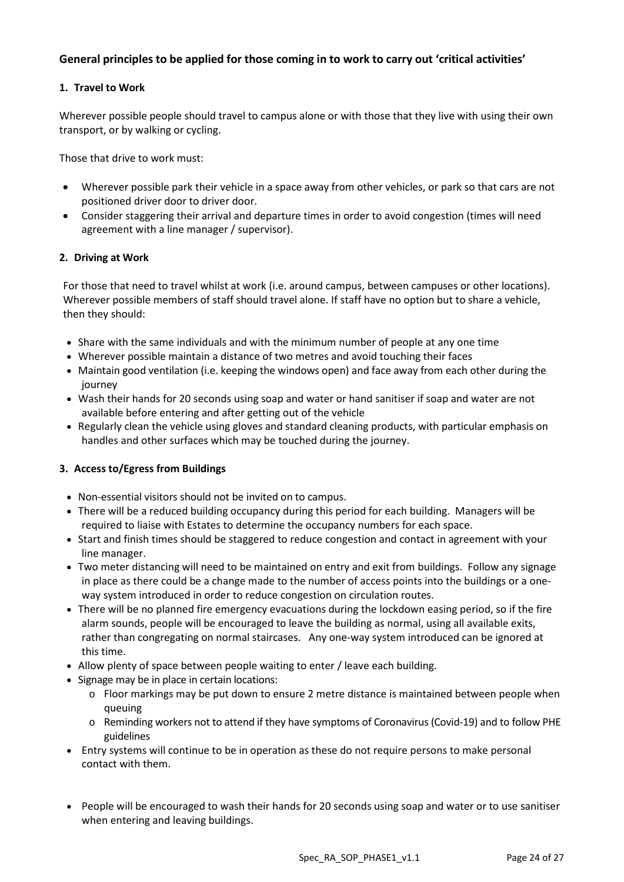## **General principles to be applied for those coming in to work to carry out 'critical activities'**

## **1. Travel to Work**

Wherever possible people should travel to campus alone or with those that they live with using their own transport, or by walking or cycling.

Those that drive to work must:

- Wherever possible park their vehicle in a space away from other vehicles, or park so that cars are not positioned driver door to driver door.
- Consider staggering their arrival and departure times in order to avoid congestion (times will need agreement with a line manager / supervisor).

## **2. Driving at Work**

For those that need to travel whilst at work (i.e. around campus, between campuses or other locations). Wherever possible members of staff should travel alone. If staff have no option but to share a vehicle, then they should:

- Share with the same individuals and with the minimum number of people at any one time
- Wherever possible maintain a distance of two metres and avoid touching their faces
- Maintain good ventilation (i.e. keeping the windows open) and face away from each other during the journey
- Wash their hands for 20 seconds using soap and water or hand sanitiser if soap and water are not available before entering and after getting out of the vehicle
- Regularly clean the vehicle using gloves and standard cleaning products, with particular emphasis on handles and other surfaces which may be touched during the journey.

## **3. Access to/Egress from Buildings**

- Non-essential visitors should not be invited on to campus.
- There will be a reduced building occupancy during this period for each building. Managers will be required to liaise with Estates to determine the occupancy numbers for each space.
- Start and finish times should be staggered to reduce congestion and contact in agreement with your line manager.
- Two meter distancing will need to be maintained on entry and exit from buildings. Follow any signage in place as there could be a change made to the number of access points into the buildings or a oneway system introduced in order to reduce congestion on circulation routes.
- There will be no planned fire emergency evacuations during the lockdown easing period, so if the fire alarm sounds, people will be encouraged to leave the building as normal, using all available exits, rather than congregating on normal staircases. Any one-way system introduced can be ignored at this time.
- Allow plenty of space between people waiting to enter / leave each building.
- Signage may be in place in certain locations:
	- $\circ$  Floor markings may be put down to ensure 2 metre distance is maintained between people when queuing
	- o Reminding workers not to attend if they have symptoms of Coronavirus (Covid-19) and to follow PHE guidelines
- Entry systems will continue to be in operation as these do not require persons to make personal contact with them.
- People will be encouraged to wash their hands for 20 seconds using soap and water or to use sanitiser when entering and leaving buildings.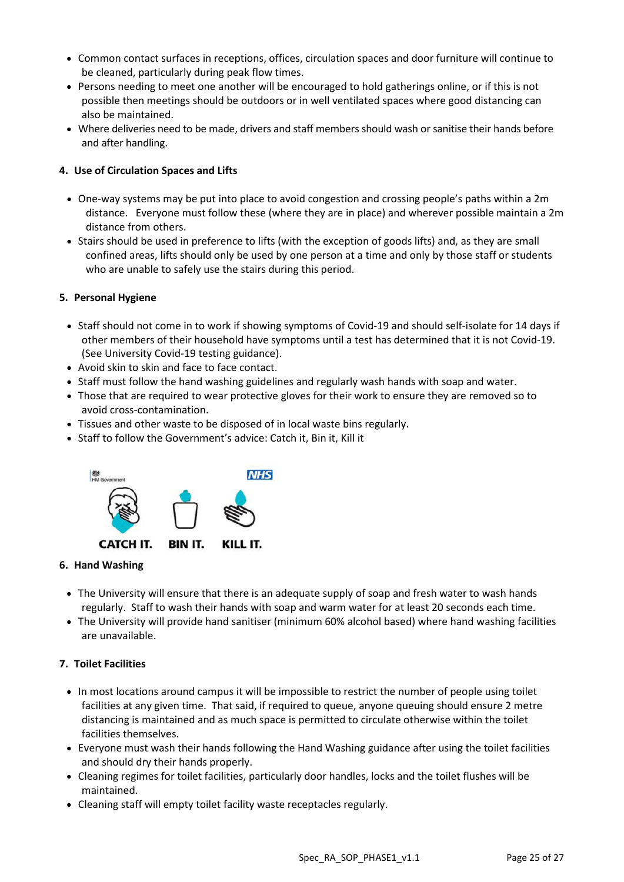- Common contact surfaces in receptions, offices, circulation spaces and door furniture will continue to be cleaned, particularly during peak flow times.
- Persons needing to meet one another will be encouraged to hold gatherings online, or if this is not possible then meetings should be outdoors or in well ventilated spaces where good distancing can also be maintained.
- Where deliveries need to be made, drivers and staff members should wash or sanitise their hands before and after handling.

## **4. Use of Circulation Spaces and Lifts**

- One-way systems may be put into place to avoid congestion and crossing people's paths within a 2m distance. Everyone must follow these (where they are in place) and wherever possible maintain a 2m distance from others.
- Stairs should be used in preference to lifts (with the exception of goods lifts) and, as they are small confined areas, lifts should only be used by one person at a time and only by those staff or students who are unable to safely use the stairs during this period.

## **5. Personal Hygiene**

- Staff should not come in to work if showing symptoms of Covid-19 and should self-isolate for 14 days if other members of their household have symptoms until a test has determined that it is not Covid-19. (See University Covid-19 testing guidance).
- Avoid skin to skin and face to face contact.
- Staff must follow the hand washing guidelines and regularly wash hands with soap and water.
- Those that are required to wear protective gloves for their work to ensure they are removed so to avoid cross-contamination.
- Tissues and other waste to be disposed of in local waste bins regularly.
- Staff to follow the Government's advice: Catch it, Bin it, Kill it



## **6. Hand Washing**

- The University will ensure that there is an adequate supply of soap and fresh water to wash hands regularly. Staff to wash their hands with soap and warm water for at least 20 seconds each time.
- The University will provide hand sanitiser (minimum 60% alcohol based) where hand washing facilities are unavailable.

## **7. Toilet Facilities**

- In most locations around campus it will be impossible to restrict the number of people using toilet facilities at any given time. That said, if required to queue, anyone queuing should ensure 2 metre distancing is maintained and as much space is permitted to circulate otherwise within the toilet facilities themselves.
- Everyone must wash their hands following the Hand Washing guidance after using the toilet facilities and should dry their hands properly.
- Cleaning regimes for toilet facilities, particularly door handles, locks and the toilet flushes will be maintained.
- Cleaning staff will empty toilet facility waste receptacles regularly.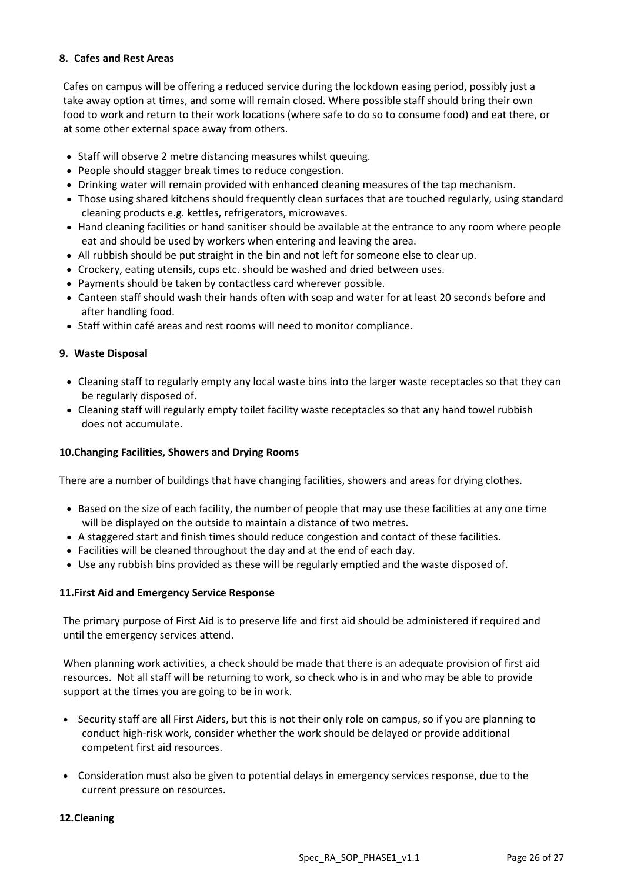## **8. Cafes and Rest Areas**

Cafes on campus will be offering a reduced service during the lockdown easing period, possibly just a take away option at times, and some will remain closed. Where possible staff should bring their own food to work and return to their work locations (where safe to do so to consume food) and eat there, or at some other external space away from others.

- Staff will observe 2 metre distancing measures whilst queuing.
- People should stagger break times to reduce congestion.
- Drinking water will remain provided with enhanced cleaning measures of the tap mechanism.
- Those using shared kitchens should frequently clean surfaces that are touched regularly, using standard cleaning products e.g. kettles, refrigerators, microwaves.
- Hand cleaning facilities or hand sanitiser should be available at the entrance to any room where people eat and should be used by workers when entering and leaving the area.
- All rubbish should be put straight in the bin and not left for someone else to clear up.
- Crockery, eating utensils, cups etc. should be washed and dried between uses.
- Payments should be taken by contactless card wherever possible.
- Canteen staff should wash their hands often with soap and water for at least 20 seconds before and after handling food.
- Staff within café areas and rest rooms will need to monitor compliance.

## **9. Waste Disposal**

- Cleaning staff to regularly empty any local waste bins into the larger waste receptacles so that they can be regularly disposed of.
- Cleaning staff will regularly empty toilet facility waste receptacles so that any hand towel rubbish does not accumulate.

## **10.Changing Facilities, Showers and Drying Rooms**

There are a number of buildings that have changing facilities, showers and areas for drying clothes.

- Based on the size of each facility, the number of people that may use these facilities at any one time will be displayed on the outside to maintain a distance of two metres.
- A staggered start and finish times should reduce congestion and contact of these facilities.
- Facilities will be cleaned throughout the day and at the end of each day.
- Use any rubbish bins provided as these will be regularly emptied and the waste disposed of.

## **11.First Aid and Emergency Service Response**

The primary purpose of First Aid is to preserve life and first aid should be administered if required and until the emergency services attend.

When planning work activities, a check should be made that there is an adequate provision of first aid resources. Not all staff will be returning to work, so check who is in and who may be able to provide support at the times you are going to be in work.

- Security staff are all First Aiders, but this is not their only role on campus, so if you are planning to conduct high-risk work, consider whether the work should be delayed or provide additional competent first aid resources.
- Consideration must also be given to potential delays in emergency services response, due to the current pressure on resources.